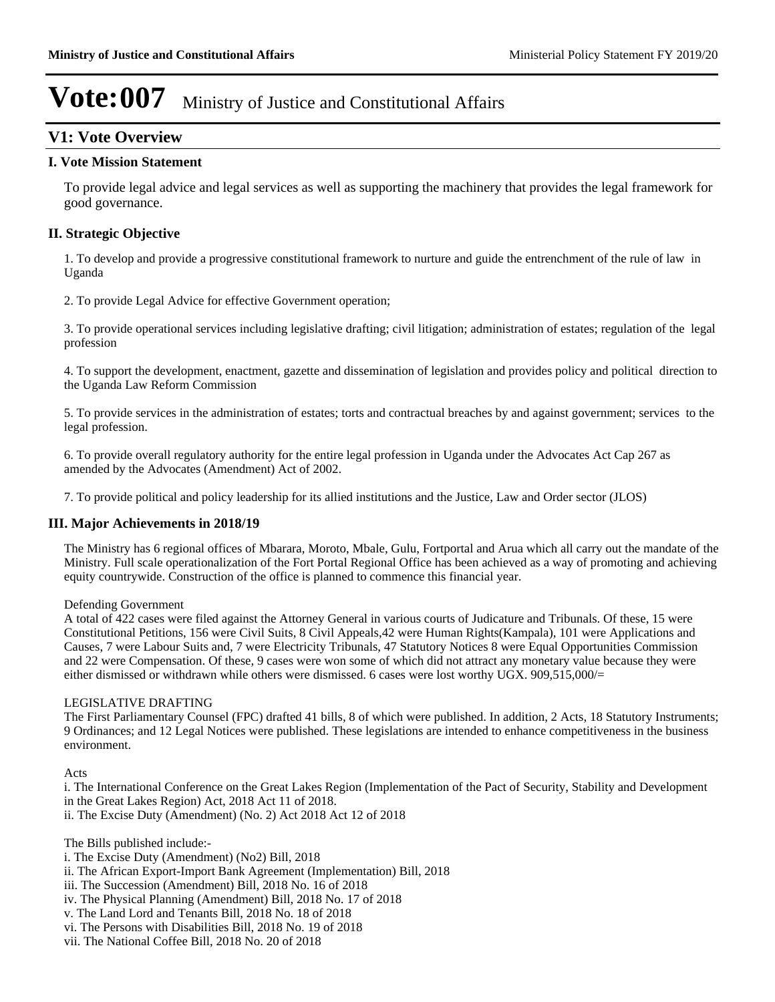### **V1: Vote Overview**

#### **I. Vote Mission Statement**

To provide legal advice and legal services as well as supporting the machinery that provides the legal framework for good governance.

### **II. Strategic Objective**

1. To develop and provide a progressive constitutional framework to nurture and guide the entrenchment of the rule of law in Uganda

2. To provide Legal Advice for effective Government operation;

3. To provide operational services including legislative drafting; civil litigation; administration of estates; regulation of the legal profession

4. To support the development, enactment, gazette and dissemination of legislation and provides policy and political direction to the Uganda Law Reform Commission

5. To provide services in the administration of estates; torts and contractual breaches by and against government; services to the legal profession.

6. To provide overall regulatory authority for the entire legal profession in Uganda under the Advocates Act Cap 267 as amended by the Advocates (Amendment) Act of 2002.

7. To provide political and policy leadership for its allied institutions and the Justice, Law and Order sector (JLOS)

### **III. Major Achievements in 2018/19**

The Ministry has 6 regional offices of Mbarara, Moroto, Mbale, Gulu, Fortportal and Arua which all carry out the mandate of the Ministry. Full scale operationalization of the Fort Portal Regional Office has been achieved as a way of promoting and achieving equity countrywide. Construction of the office is planned to commence this financial year.

#### Defending Government

A total of 422 cases were filed against the Attorney General in various courts of Judicature and Tribunals. Of these, 15 were Constitutional Petitions, 156 were Civil Suits, 8 Civil Appeals,42 were Human Rights(Kampala), 101 were Applications and Causes, 7 were Labour Suits and, 7 were Electricity Tribunals, 47 Statutory Notices 8 were Equal Opportunities Commission and 22 were Compensation. Of these, 9 cases were won some of which did not attract any monetary value because they were either dismissed or withdrawn while others were dismissed. 6 cases were lost worthy UGX. 909,515,000/=

#### LEGISLATIVE DRAFTING

The First Parliamentary Counsel (FPC) drafted 41 bills, 8 of which were published. In addition, 2 Acts, 18 Statutory Instruments; 9 Ordinances; and 12 Legal Notices were published. These legislations are intended to enhance competitiveness in the business environment.

Acts

i. The International Conference on the Great Lakes Region (Implementation of the Pact of Security, Stability and Development in the Great Lakes Region) Act, 2018 Act 11 of 2018. ii. The Excise Duty (Amendment) (No. 2) Act 2018 Act 12 of 2018

The Bills published include:-

- i. The Excise Duty (Amendment) (No2) Bill, 2018
- ii. The African Export-Import Bank Agreement (Implementation) Bill, 2018
- iii. The Succession (Amendment) Bill, 2018 No. 16 of 2018
- iv. The Physical Planning (Amendment) Bill, 2018 No. 17 of 2018
- v. The Land Lord and Tenants Bill, 2018 No. 18 of 2018
- vi. The Persons with Disabilities Bill, 2018 No. 19 of 2018
- vii. The National Coffee Bill, 2018 No. 20 of 2018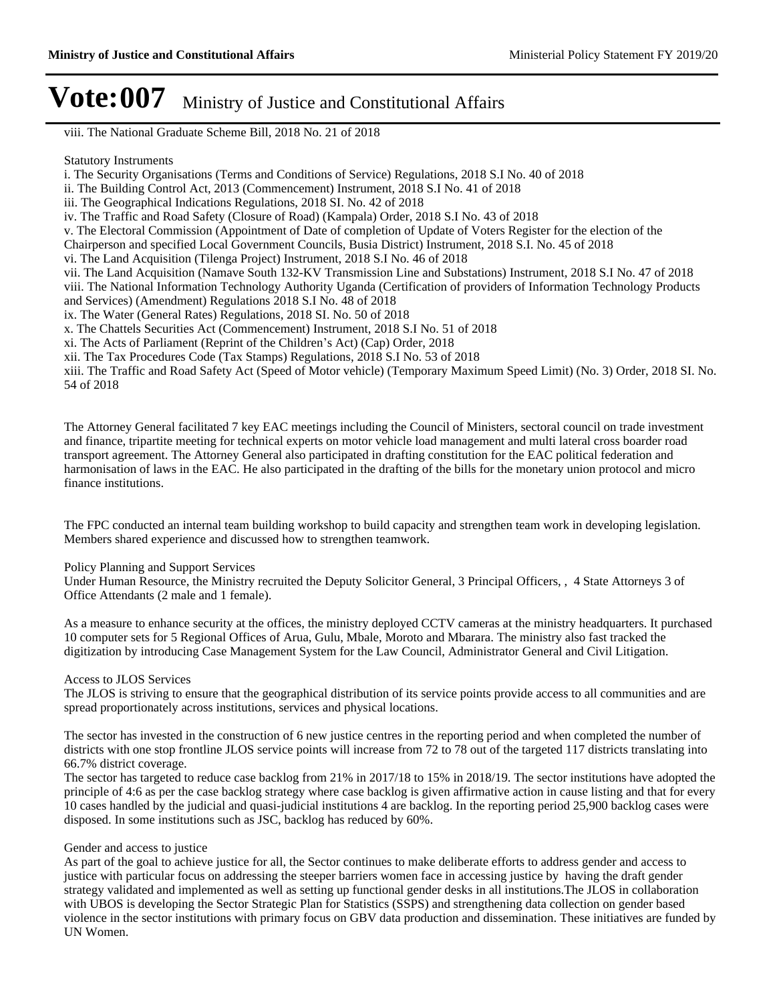viii. The National Graduate Scheme Bill, 2018 No. 21 of 2018

#### Statutory Instruments

i. The Security Organisations (Terms and Conditions of Service) Regulations, 2018 S.I No. 40 of 2018

- ii. The Building Control Act, 2013 (Commencement) Instrument, 2018 S.I No. 41 of 2018
- iii. The Geographical Indications Regulations, 2018 SI. No. 42 of 2018
- iv. The Traffic and Road Safety (Closure of Road) (Kampala) Order, 2018 S.I No. 43 of 2018

v. The Electoral Commission (Appointment of Date of completion of Update of Voters Register for the election of the

- Chairperson and specified Local Government Councils, Busia District) Instrument, 2018 S.I. No. 45 of 2018
- vi. The Land Acquisition (Tilenga Project) Instrument, 2018 S.I No. 46 of 2018

vii. The Land Acquisition (Namave South 132-KV Transmission Line and Substations) Instrument, 2018 S.I No. 47 of 2018 viii. The National Information Technology Authority Uganda (Certification of providers of Information Technology Products and Services) (Amendment) Regulations 2018 S.I No. 48 of 2018

ix. The Water (General Rates) Regulations, 2018 SI. No. 50 of 2018

x. The Chattels Securities Act (Commencement) Instrument, 2018 S.I No. 51 of 2018

xi. The Acts of Parliament (Reprint of the Children's Act) (Cap) Order, 2018

xii. The Tax Procedures Code (Tax Stamps) Regulations, 2018 S.I No. 53 of 2018

xiii. The Traffic and Road Safety Act (Speed of Motor vehicle) (Temporary Maximum Speed Limit) (No. 3) Order, 2018 SI. No. 54 of 2018

The Attorney General facilitated 7 key EAC meetings including the Council of Ministers, sectoral council on trade investment and finance, tripartite meeting for technical experts on motor vehicle load management and multi lateral cross boarder road transport agreement. The Attorney General also participated in drafting constitution for the EAC political federation and harmonisation of laws in the EAC. He also participated in the drafting of the bills for the monetary union protocol and micro finance institutions.

The FPC conducted an internal team building workshop to build capacity and strengthen team work in developing legislation. Members shared experience and discussed how to strengthen teamwork.

#### Policy Planning and Support Services

Under Human Resource, the Ministry recruited the Deputy Solicitor General, 3 Principal Officers, , 4 State Attorneys 3 of Office Attendants (2 male and 1 female).

As a measure to enhance security at the offices, the ministry deployed CCTV cameras at the ministry headquarters. It purchased 10 computer sets for 5 Regional Offices of Arua, Gulu, Mbale, Moroto and Mbarara. The ministry also fast tracked the digitization by introducing Case Management System for the Law Council, Administrator General and Civil Litigation.

#### Access to JLOS Services

The JLOS is striving to ensure that the geographical distribution of its service points provide access to all communities and are spread proportionately across institutions, services and physical locations.

The sector has invested in the construction of 6 new justice centres in the reporting period and when completed the number of districts with one stop frontline JLOS service points will increase from 72 to 78 out of the targeted 117 districts translating into 66.7% district coverage.

The sector has targeted to reduce case backlog from 21% in 2017/18 to 15% in 2018/19. The sector institutions have adopted the principle of 4:6 as per the case backlog strategy where case backlog is given affirmative action in cause listing and that for every 10 cases handled by the judicial and quasi-judicial institutions 4 are backlog. In the reporting period 25,900 backlog cases were disposed. In some institutions such as JSC, backlog has reduced by 60%.

#### Gender and access to justice

As part of the goal to achieve justice for all, the Sector continues to make deliberate efforts to address gender and access to justice with particular focus on addressing the steeper barriers women face in accessing justice by having the draft gender strategy validated and implemented as well as setting up functional gender desks in all institutions.The JLOS in collaboration with UBOS is developing the Sector Strategic Plan for Statistics (SSPS) and strengthening data collection on gender based violence in the sector institutions with primary focus on GBV data production and dissemination. These initiatives are funded by UN Women.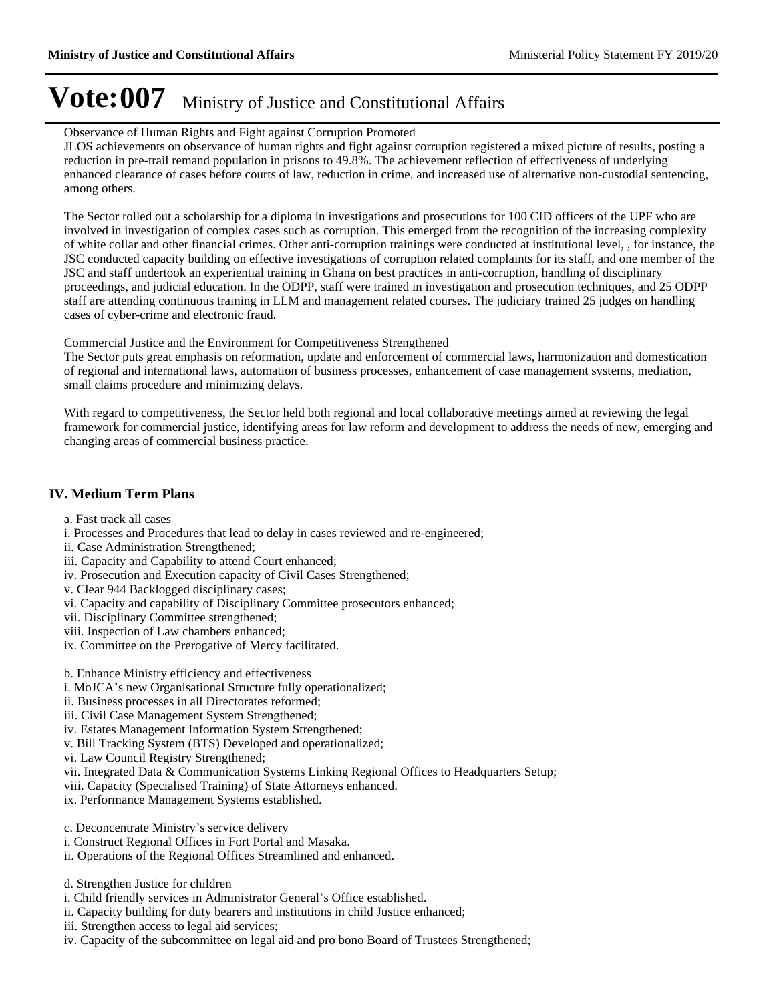#### Observance of Human Rights and Fight against Corruption Promoted

JLOS achievements on observance of human rights and fight against corruption registered a mixed picture of results, posting a reduction in pre-trail remand population in prisons to 49.8%. The achievement reflection of effectiveness of underlying enhanced clearance of cases before courts of law, reduction in crime, and increased use of alternative non-custodial sentencing, among others.

The Sector rolled out a scholarship for a diploma in investigations and prosecutions for 100 CID officers of the UPF who are involved in investigation of complex cases such as corruption. This emerged from the recognition of the increasing complexity of white collar and other financial crimes. Other anti-corruption trainings were conducted at institutional level, , for instance, the JSC conducted capacity building on effective investigations of corruption related complaints for its staff, and one member of the JSC and staff undertook an experiential training in Ghana on best practices in anti-corruption, handling of disciplinary proceedings, and judicial education. In the ODPP, staff were trained in investigation and prosecution techniques, and 25 ODPP staff are attending continuous training in LLM and management related courses. The judiciary trained 25 judges on handling cases of cyber-crime and electronic fraud.

Commercial Justice and the Environment for Competitiveness Strengthened

The Sector puts great emphasis on reformation, update and enforcement of commercial laws, harmonization and domestication of regional and international laws, automation of business processes, enhancement of case management systems, mediation, small claims procedure and minimizing delays.

With regard to competitiveness, the Sector held both regional and local collaborative meetings aimed at reviewing the legal framework for commercial justice, identifying areas for law reform and development to address the needs of new, emerging and changing areas of commercial business practice.

### **IV. Medium Term Plans**

- a. Fast track all cases
- i. Processes and Procedures that lead to delay in cases reviewed and re-engineered;
- ii. Case Administration Strengthened;
- iii. Capacity and Capability to attend Court enhanced;
- iv. Prosecution and Execution capacity of Civil Cases Strengthened;
- v. Clear 944 Backlogged disciplinary cases;
- vi. Capacity and capability of Disciplinary Committee prosecutors enhanced;
- vii. Disciplinary Committee strengthened;
- viii. Inspection of Law chambers enhanced;
- ix. Committee on the Prerogative of Mercy facilitated.
- b. Enhance Ministry efficiency and effectiveness
- i. MoJCA's new Organisational Structure fully operationalized;
- ii. Business processes in all Directorates reformed;
- iii. Civil Case Management System Strengthened;
- iv. Estates Management Information System Strengthened;
- v. Bill Tracking System (BTS) Developed and operationalized;
- vi. Law Council Registry Strengthened;
- vii. Integrated Data & Communication Systems Linking Regional Offices to Headquarters Setup;
- viii. Capacity (Specialised Training) of State Attorneys enhanced.
- ix. Performance Management Systems established.
- c. Deconcentrate Ministry's service delivery
- i. Construct Regional Offices in Fort Portal and Masaka.
- ii. Operations of the Regional Offices Streamlined and enhanced.
- d. Strengthen Justice for children
- i. Child friendly services in Administrator General's Office established.
- ii. Capacity building for duty bearers and institutions in child Justice enhanced;
- iii. Strengthen access to legal aid services;
- iv. Capacity of the subcommittee on legal aid and pro bono Board of Trustees Strengthened;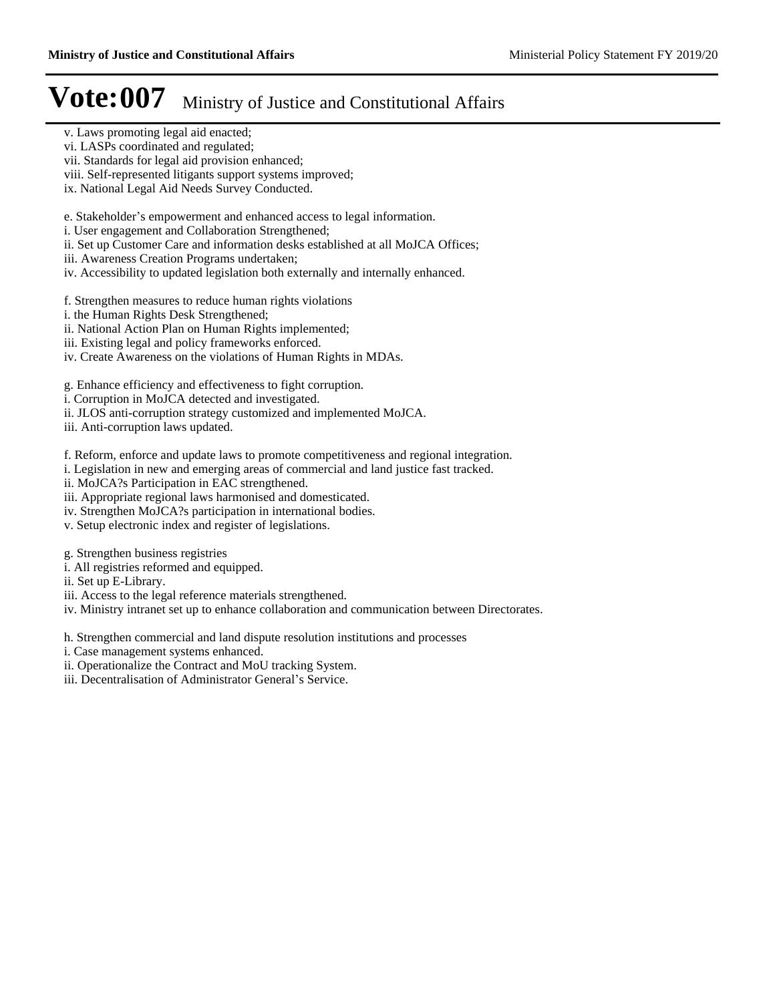- v. Laws promoting legal aid enacted;
- vi. LASPs coordinated and regulated;
- vii. Standards for legal aid provision enhanced;
- viii. Self-represented litigants support systems improved;
- ix. National Legal Aid Needs Survey Conducted.

e. Stakeholder's empowerment and enhanced access to legal information.

- i. User engagement and Collaboration Strengthened;
- ii. Set up Customer Care and information desks established at all MoJCA Offices;
- iii. Awareness Creation Programs undertaken;
- iv. Accessibility to updated legislation both externally and internally enhanced.
- f. Strengthen measures to reduce human rights violations
- i. the Human Rights Desk Strengthened;
- ii. National Action Plan on Human Rights implemented;
- iii. Existing legal and policy frameworks enforced.
- iv. Create Awareness on the violations of Human Rights in MDAs.

g. Enhance efficiency and effectiveness to fight corruption.

i. Corruption in MoJCA detected and investigated.

ii. JLOS anti-corruption strategy customized and implemented MoJCA.

iii. Anti-corruption laws updated.

f. Reform, enforce and update laws to promote competitiveness and regional integration.

i. Legislation in new and emerging areas of commercial and land justice fast tracked.

ii. MoJCA?s Participation in EAC strengthened.

iii. Appropriate regional laws harmonised and domesticated.

iv. Strengthen MoJCA?s participation in international bodies.

v. Setup electronic index and register of legislations.

g. Strengthen business registries

- i. All registries reformed and equipped.
- ii. Set up E-Library.
- iii. Access to the legal reference materials strengthened.

iv. Ministry intranet set up to enhance collaboration and communication between Directorates.

h. Strengthen commercial and land dispute resolution institutions and processes

i. Case management systems enhanced.

ii. Operationalize the Contract and MoU tracking System.

iii. Decentralisation of Administrator General's Service.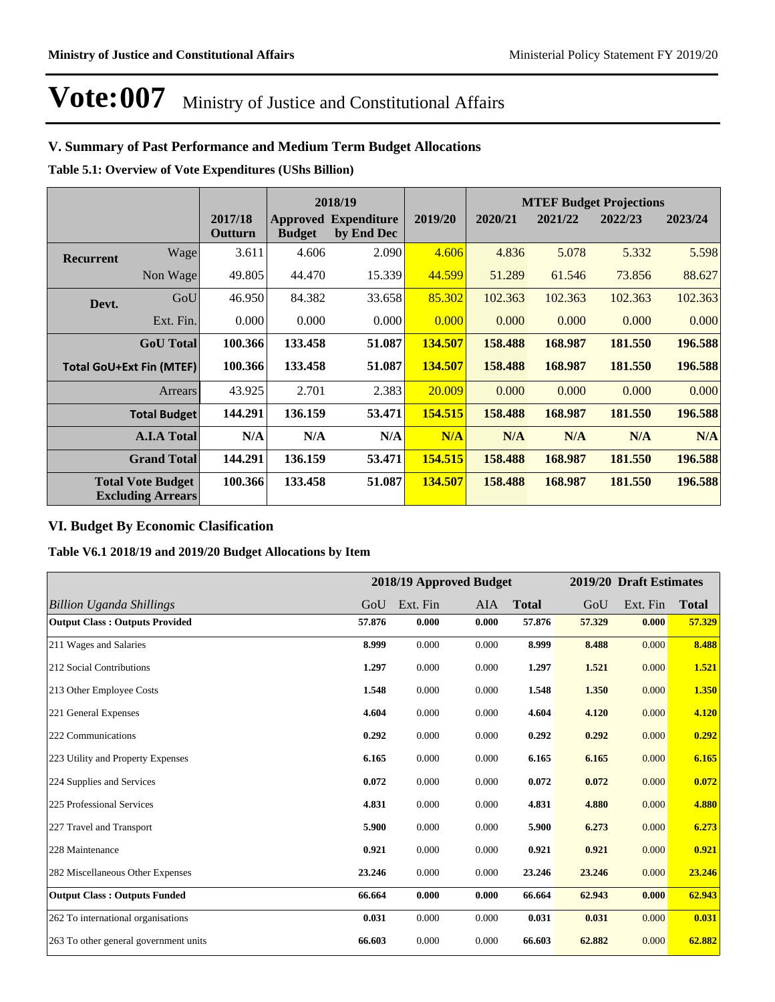### **V. Summary of Past Performance and Medium Term Budget Allocations**

**Table 5.1: Overview of Vote Expenditures (UShs Billion)**

|                  |                                                      |                    |                                  | 2018/19                          |         |         |         | <b>MTEF Budget Projections</b> |         |
|------------------|------------------------------------------------------|--------------------|----------------------------------|----------------------------------|---------|---------|---------|--------------------------------|---------|
|                  |                                                      | 2017/18<br>Outturn | <b>Approved</b><br><b>Budget</b> | <b>Expenditure</b><br>by End Dec | 2019/20 | 2020/21 | 2021/22 | 2022/23                        | 2023/24 |
| <b>Recurrent</b> | Wage                                                 | 3.611              | 4.606                            | 2.090                            | 4.606   | 4.836   | 5.078   | 5.332                          | 5.598   |
|                  | Non Wage                                             | 49.805             | 44.470                           | 15.339                           | 44.599  | 51.289  | 61.546  | 73.856                         | 88.627  |
| Devt.            | GoU                                                  | 46.950             | 84.382                           | 33.658                           | 85.302  | 102.363 | 102.363 | 102.363                        | 102.363 |
|                  | Ext. Fin.                                            | 0.000              | 0.000                            | 0.000                            | 0.000   | 0.000   | 0.000   | 0.000                          | 0.000   |
|                  | <b>GoU</b> Total                                     | 100.366            | 133.458                          | 51.087                           | 134.507 | 158.488 | 168.987 | 181.550                        | 196.588 |
|                  | <b>Total GoU+Ext Fin (MTEF)</b>                      | 100.366            | 133.458                          | 51.087                           | 134.507 | 158.488 | 168.987 | 181.550                        | 196.588 |
|                  | Arrears                                              | 43.925             | 2.701                            | 2.383                            | 20.009  | 0.000   | 0.000   | 0.000                          | 0.000   |
|                  | <b>Total Budget</b>                                  | 144.291            | 136.159                          | 53.471                           | 154.515 | 158.488 | 168.987 | 181.550                        | 196.588 |
|                  | <b>A.I.A Total</b>                                   | N/A                | N/A                              | N/A                              | N/A     | N/A     | N/A     | N/A                            | N/A     |
|                  | <b>Grand Total</b>                                   | 144.291            | 136.159                          | 53.471                           | 154.515 | 158.488 | 168.987 | 181.550                        | 196.588 |
|                  | <b>Total Vote Budget</b><br><b>Excluding Arrears</b> | 100.366            | 133.458                          | 51.087                           | 134.507 | 158.488 | 168.987 | 181.550                        | 196.588 |

### **VI. Budget By Economic Clasification**

**Table V6.1 2018/19 and 2019/20 Budget Allocations by Item**

|                                       |        |          | 2018/19 Approved Budget |              |        | 2019/20 Draft Estimates |              |
|---------------------------------------|--------|----------|-------------------------|--------------|--------|-------------------------|--------------|
| <b>Billion Uganda Shillings</b>       | GoU    | Ext. Fin | AIA                     | <b>Total</b> | GoU    | Ext. Fin                | <b>Total</b> |
| <b>Output Class: Outputs Provided</b> | 57.876 | 0.000    | 0.000                   | 57.876       | 57.329 | 0.000                   | 57.329       |
| 211 Wages and Salaries                | 8.999  | 0.000    | 0.000                   | 8.999        | 8.488  | 0.000                   | 8.488        |
| 212 Social Contributions              | 1.297  | 0.000    | 0.000                   | 1.297        | 1.521  | 0.000                   | 1.521        |
| 213 Other Employee Costs              | 1.548  | 0.000    | 0.000                   | 1.548        | 1.350  | 0.000                   | 1.350        |
| 221 General Expenses                  | 4.604  | 0.000    | 0.000                   | 4.604        | 4.120  | 0.000                   | 4.120        |
| 222 Communications                    | 0.292  | 0.000    | 0.000                   | 0.292        | 0.292  | 0.000                   | 0.292        |
| 223 Utility and Property Expenses     | 6.165  | 0.000    | 0.000                   | 6.165        | 6.165  | 0.000                   | 6.165        |
| 224 Supplies and Services             | 0.072  | 0.000    | 0.000                   | 0.072        | 0.072  | 0.000                   | 0.072        |
| 225 Professional Services             | 4.831  | 0.000    | 0.000                   | 4.831        | 4.880  | 0.000                   | 4.880        |
| 227 Travel and Transport              | 5.900  | 0.000    | 0.000                   | 5.900        | 6.273  | 0.000                   | 6.273        |
| 228 Maintenance                       | 0.921  | 0.000    | 0.000                   | 0.921        | 0.921  | 0.000                   | 0.921        |
| 282 Miscellaneous Other Expenses      | 23.246 | 0.000    | 0.000                   | 23.246       | 23.246 | 0.000                   | 23.246       |
| <b>Output Class: Outputs Funded</b>   | 66.664 | 0.000    | 0.000                   | 66.664       | 62.943 | 0.000                   | 62.943       |
| 262 To international organisations    | 0.031  | 0.000    | 0.000                   | 0.031        | 0.031  | 0.000                   | 0.031        |
| 263 To other general government units | 66.603 | 0.000    | 0.000                   | 66.603       | 62.882 | 0.000                   | 62.882       |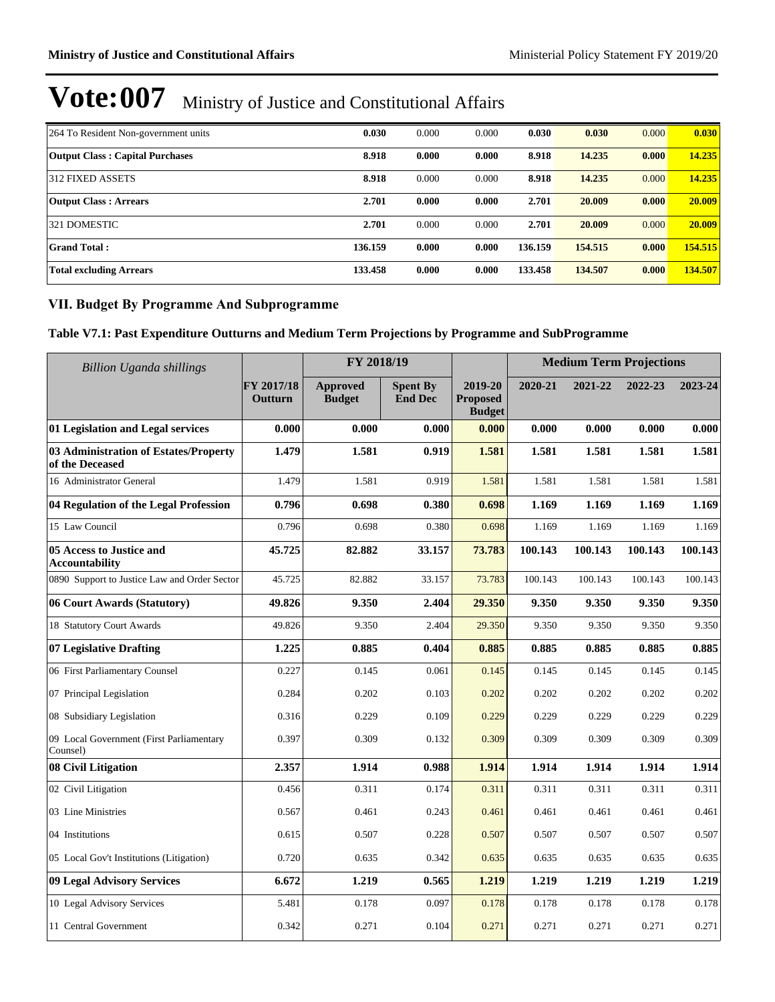| 264 To Resident Non-government units   | 0.030   | 0.000 | 0.000 | 0.030   | 0.030   | 0.000 | 0.030   |
|----------------------------------------|---------|-------|-------|---------|---------|-------|---------|
| <b>Output Class: Capital Purchases</b> | 8.918   | 0.000 | 0.000 | 8.918   | 14.235  | 0.000 | 14.235  |
| 312 FIXED ASSETS                       | 8.918   | 0.000 | 0.000 | 8.918   | 14.235  | 0.000 | 14.235  |
| <b>Output Class: Arrears</b>           | 2.701   | 0.000 | 0.000 | 2.701   | 20.009  | 0.000 | 20.009  |
| 321 DOMESTIC                           | 2.701   | 0.000 | 0.000 | 2.701   | 20.009  | 0.000 | 20.009  |
| <b>Grand Total:</b>                    | 136.159 | 0.000 | 0.000 | 136.159 | 154.515 | 0.000 | 154.515 |
| <b>Total excluding Arrears</b>         | 133.458 | 0.000 | 0.000 | 133.458 | 134.507 | 0.000 | 134.507 |

### **VII. Budget By Programme And Subprogramme**

**Table V7.1: Past Expenditure Outturns and Medium Term Projections by Programme and SubProgramme**

| <b>Billion Uganda shillings</b>                          |                       | FY 2018/19                       |                                   |                                             |         | <b>Medium Term Projections</b> |         |         |
|----------------------------------------------------------|-----------------------|----------------------------------|-----------------------------------|---------------------------------------------|---------|--------------------------------|---------|---------|
|                                                          | FY 2017/18<br>Outturn | <b>Approved</b><br><b>Budget</b> | <b>Spent By</b><br><b>End Dec</b> | 2019-20<br><b>Proposed</b><br><b>Budget</b> | 2020-21 | 2021-22                        | 2022-23 | 2023-24 |
| 01 Legislation and Legal services                        | 0.000                 | 0.000                            | 0.000                             | 0.000                                       | 0.000   | 0.000                          | 0.000   | 0.000   |
| 03 Administration of Estates/Property<br>of the Deceased | 1.479                 | 1.581                            | 0.919                             | 1.581                                       | 1.581   | 1.581                          | 1.581   | 1.581   |
| 16 Administrator General                                 | 1.479                 | 1.581                            | 0.919                             | 1.581                                       | 1.581   | 1.581                          | 1.581   | 1.581   |
| 04 Regulation of the Legal Profession                    | 0.796                 | 0.698                            | 0.380                             | 0.698                                       | 1.169   | 1.169                          | 1.169   | 1.169   |
| 15 Law Council                                           | 0.796                 | 0.698                            | 0.380                             | 0.698                                       | 1.169   | 1.169                          | 1.169   | 1.169   |
| 05 Access to Justice and<br><b>Accountability</b>        | 45.725                | 82.882                           | 33.157                            | 73.783                                      | 100.143 | 100.143                        | 100.143 | 100.143 |
| 0890 Support to Justice Law and Order Sector             | 45.725                | 82.882                           | 33.157                            | 73.783                                      | 100.143 | 100.143                        | 100.143 | 100.143 |
| 06 Court Awards (Statutory)                              | 49.826                | 9.350                            | 2.404                             | 29.350                                      | 9.350   | 9.350                          | 9.350   | 9.350   |
| 18 Statutory Court Awards                                | 49.826                | 9.350                            | 2.404                             | 29.350                                      | 9.350   | 9.350                          | 9.350   | 9.350   |
| 07 Legislative Drafting                                  | 1.225                 | 0.885                            | 0.404                             | 0.885                                       | 0.885   | 0.885                          | 0.885   | 0.885   |
| 06 First Parliamentary Counsel                           | 0.227                 | 0.145                            | 0.061                             | 0.145                                       | 0.145   | 0.145                          | 0.145   | 0.145   |
| 07 Principal Legislation                                 | 0.284                 | 0.202                            | 0.103                             | 0.202                                       | 0.202   | 0.202                          | 0.202   | 0.202   |
| 08 Subsidiary Legislation                                | 0.316                 | 0.229                            | 0.109                             | 0.229                                       | 0.229   | 0.229                          | 0.229   | 0.229   |
| 09 Local Government (First Parliamentary<br>Counsel)     | 0.397                 | 0.309                            | 0.132                             | 0.309                                       | 0.309   | 0.309                          | 0.309   | 0.309   |
| 08 Civil Litigation                                      | 2.357                 | 1.914                            | 0.988                             | 1.914                                       | 1.914   | 1.914                          | 1.914   | 1.914   |
| 02 Civil Litigation                                      | 0.456                 | 0.311                            | 0.174                             | 0.311                                       | 0.311   | 0.311                          | 0.311   | 0.311   |
| 03 Line Ministries                                       | 0.567                 | 0.461                            | 0.243                             | 0.461                                       | 0.461   | 0.461                          | 0.461   | 0.461   |
| 04 Institutions                                          | 0.615                 | 0.507                            | 0.228                             | 0.507                                       | 0.507   | 0.507                          | 0.507   | 0.507   |
| 05 Local Gov't Institutions (Litigation)                 | 0.720                 | 0.635                            | 0.342                             | 0.635                                       | 0.635   | 0.635                          | 0.635   | 0.635   |
| 09 Legal Advisory Services                               | 6.672                 | 1.219                            | 0.565                             | 1.219                                       | 1.219   | 1.219                          | 1.219   | 1.219   |
| 10 Legal Advisory Services                               | 5.481                 | 0.178                            | 0.097                             | 0.178                                       | 0.178   | 0.178                          | 0.178   | 0.178   |
| 11 Central Government                                    | 0.342                 | 0.271                            | 0.104                             | 0.271                                       | 0.271   | 0.271                          | 0.271   | 0.271   |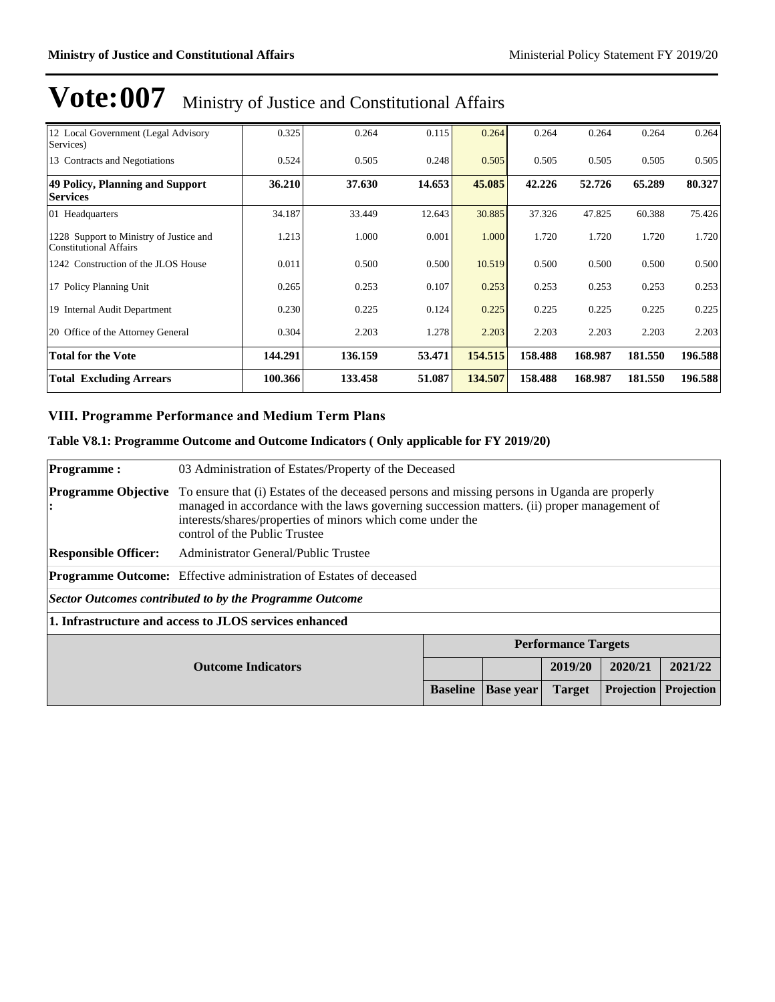| 12 Local Government (Legal Advisory<br>Services)                         | 0.325   | 0.264   | 0.115  | 0.264   | 0.264   | 0.264   | 0.264   | 0.264   |
|--------------------------------------------------------------------------|---------|---------|--------|---------|---------|---------|---------|---------|
| 13 Contracts and Negotiations                                            | 0.524   | 0.505   | 0.248  | 0.505   | 0.505   | 0.505   | 0.505   | 0.505   |
| 49 Policy, Planning and Support<br><b>Services</b>                       | 36.210  | 37.630  | 14.653 | 45.085  | 42.226  | 52.726  | 65.289  | 80.327  |
| 01 Headquarters                                                          | 34.187  | 33.449  | 12.643 | 30.885  | 37.326  | 47.825  | 60.388  | 75.426  |
| 1228 Support to Ministry of Justice and<br><b>Constitutional Affairs</b> | 1.213   | 1.000   | 0.001  | 1.000   | 1.720   | 1.720   | 1.720   | 1.720   |
| 1242 Construction of the JLOS House                                      | 0.011   | 0.500   | 0.500  | 10.519  | 0.500   | 0.500   | 0.500   | 0.500   |
| 17 Policy Planning Unit                                                  | 0.265   | 0.253   | 0.107  | 0.253   | 0.253   | 0.253   | 0.253   | 0.253   |
| 19 Internal Audit Department                                             | 0.230   | 0.225   | 0.124  | 0.225   | 0.225   | 0.225   | 0.225   | 0.225   |
| 20 Office of the Attorney General                                        | 0.304   | 2.203   | 1.278  | 2.203   | 2.203   | 2.203   | 2.203   | 2.203   |
| Total for the Vote                                                       | 144.291 | 136.159 | 53.471 | 154.515 | 158.488 | 168.987 | 181.550 | 196.588 |
| <b>Total Excluding Arrears</b>                                           | 100.366 | 133.458 | 51.087 | 134.507 | 158.488 | 168.987 | 181.550 | 196.588 |

### **VIII. Programme Performance and Medium Term Plans**

### **Table V8.1: Programme Outcome and Outcome Indicators ( Only applicable for FY 2019/20)**

| <b>Programme:</b>               |                                                                                                                                                                                                                                                                                             | 03 Administration of Estates/Property of the Deceased |  |                            |  |         |  |  |
|---------------------------------|---------------------------------------------------------------------------------------------------------------------------------------------------------------------------------------------------------------------------------------------------------------------------------------------|-------------------------------------------------------|--|----------------------------|--|---------|--|--|
| <b>Programme Objective</b><br>: | To ensure that (i) Estates of the deceased persons and missing persons in Uganda are properly<br>managed in accordance with the laws governing succession matters. (ii) proper management of<br>interests/shares/properties of minors which come under the<br>control of the Public Trustee |                                                       |  |                            |  |         |  |  |
| <b>Responsible Officer:</b>     | Administrator General/Public Trustee                                                                                                                                                                                                                                                        |                                                       |  |                            |  |         |  |  |
|                                 | <b>Programme Outcome:</b> Effective administration of Estates of deceased                                                                                                                                                                                                                   |                                                       |  |                            |  |         |  |  |
|                                 | Sector Outcomes contributed to by the Programme Outcome                                                                                                                                                                                                                                     |                                                       |  |                            |  |         |  |  |
|                                 | 1. Infrastructure and access to JLOS services enhanced                                                                                                                                                                                                                                      |                                                       |  |                            |  |         |  |  |
|                                 |                                                                                                                                                                                                                                                                                             |                                                       |  | <b>Performance Targets</b> |  |         |  |  |
|                                 | 2020/21<br>2019/20<br><b>Outcome Indicators</b>                                                                                                                                                                                                                                             |                                                       |  |                            |  | 2021/22 |  |  |
|                                 | Projection<br><b>Projection</b><br><b>Baseline</b><br><b>Target</b><br><b>Base year</b>                                                                                                                                                                                                     |                                                       |  |                            |  |         |  |  |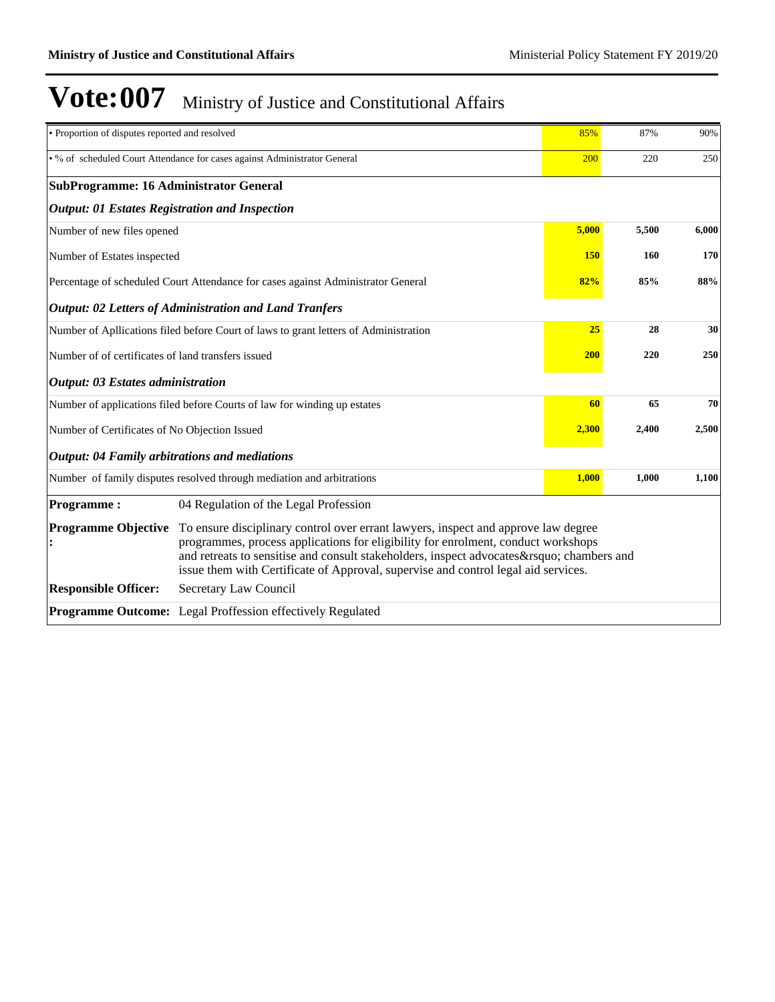| • Proportion of disputes reported and resolved        |                                                                                                                                                                                                                                                                                                                                                      | 85%        | 87%   | 90%   |
|-------------------------------------------------------|------------------------------------------------------------------------------------------------------------------------------------------------------------------------------------------------------------------------------------------------------------------------------------------------------------------------------------------------------|------------|-------|-------|
|                                                       | • % of scheduled Court Attendance for cases against Administrator General                                                                                                                                                                                                                                                                            | 200        | 220   | 250   |
| <b>SubProgramme: 16 Administrator General</b>         |                                                                                                                                                                                                                                                                                                                                                      |            |       |       |
| <b>Output: 01 Estates Registration and Inspection</b> |                                                                                                                                                                                                                                                                                                                                                      |            |       |       |
| Number of new files opened                            |                                                                                                                                                                                                                                                                                                                                                      | 5,000      | 5,500 | 6,000 |
| Number of Estates inspected                           |                                                                                                                                                                                                                                                                                                                                                      | <b>150</b> | 160   | 170   |
|                                                       | Percentage of scheduled Court Attendance for cases against Administrator General                                                                                                                                                                                                                                                                     | 82%        | 85%   | 88%   |
|                                                       | <b>Output: 02 Letters of Administration and Land Tranfers</b>                                                                                                                                                                                                                                                                                        |            |       |       |
|                                                       | Number of Apllications filed before Court of laws to grant letters of Administration                                                                                                                                                                                                                                                                 | 25         | 28    | 30    |
| Number of of certificates of land transfers issued    |                                                                                                                                                                                                                                                                                                                                                      | <b>200</b> | 220   | 250   |
| <b>Output: 03 Estates administration</b>              |                                                                                                                                                                                                                                                                                                                                                      |            |       |       |
|                                                       | Number of applications filed before Courts of law for winding up estates                                                                                                                                                                                                                                                                             | 60         | 65    | 70    |
| Number of Certificates of No Objection Issued         |                                                                                                                                                                                                                                                                                                                                                      | 2,300      | 2,400 | 2,500 |
| <b>Output: 04 Family arbitrations and mediations</b>  |                                                                                                                                                                                                                                                                                                                                                      |            |       |       |
|                                                       | Number of family disputes resolved through mediation and arbitrations                                                                                                                                                                                                                                                                                | 1,000      | 1,000 | 1,100 |
| <b>Programme:</b>                                     | 04 Regulation of the Legal Profession                                                                                                                                                                                                                                                                                                                |            |       |       |
| <b>Programme Objective</b>                            | To ensure disciplinary control over errant lawyers, inspect and approve law degree<br>programmes, process applications for eligibility for enrolment, conduct workshops<br>and retreats to sensitise and consult stakeholders, inspect advocates' chambers and<br>issue them with Certificate of Approval, supervise and control legal aid services. |            |       |       |
| <b>Responsible Officer:</b>                           | Secretary Law Council                                                                                                                                                                                                                                                                                                                                |            |       |       |
|                                                       | Programme Outcome: Legal Proffession effectively Regulated                                                                                                                                                                                                                                                                                           |            |       |       |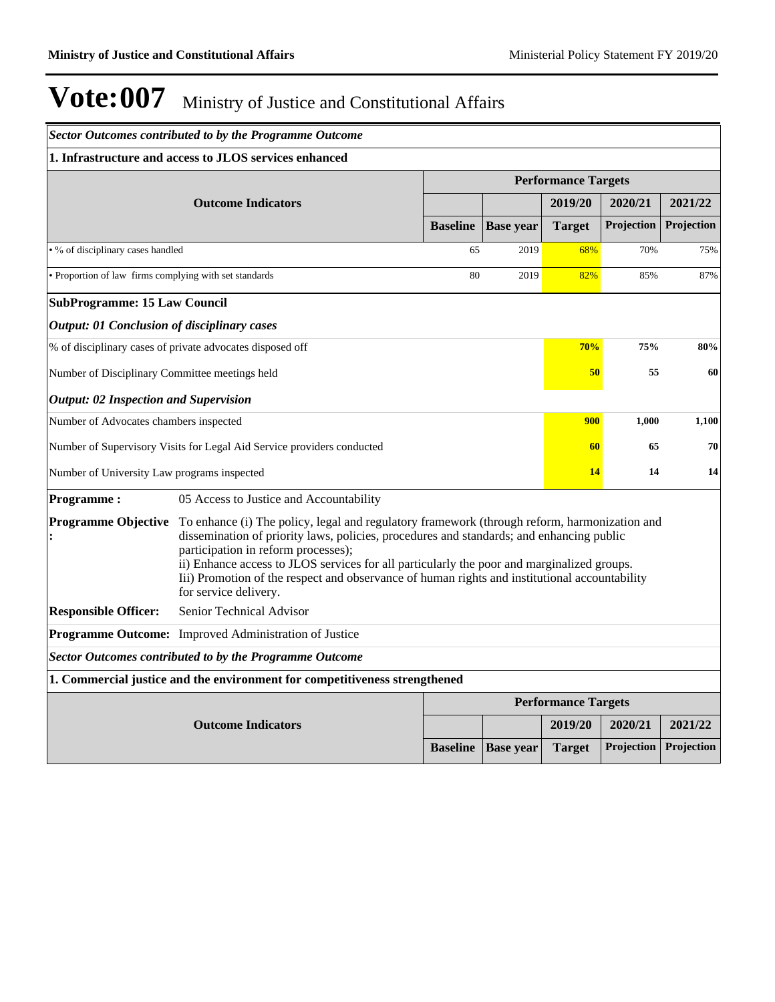|                                                           | <b>Sector Outcomes contributed to by the Programme Outcome</b>                                                                                                                                                                                                                                                                                                                                                                                                                     |                 |                  |                            |                   |            |  |  |
|-----------------------------------------------------------|------------------------------------------------------------------------------------------------------------------------------------------------------------------------------------------------------------------------------------------------------------------------------------------------------------------------------------------------------------------------------------------------------------------------------------------------------------------------------------|-----------------|------------------|----------------------------|-------------------|------------|--|--|
|                                                           | 1. Infrastructure and access to JLOS services enhanced                                                                                                                                                                                                                                                                                                                                                                                                                             |                 |                  |                            |                   |            |  |  |
|                                                           |                                                                                                                                                                                                                                                                                                                                                                                                                                                                                    |                 |                  | <b>Performance Targets</b> |                   |            |  |  |
|                                                           | <b>Outcome Indicators</b>                                                                                                                                                                                                                                                                                                                                                                                                                                                          |                 |                  | 2019/20                    | 2020/21           | 2021/22    |  |  |
|                                                           |                                                                                                                                                                                                                                                                                                                                                                                                                                                                                    | <b>Baseline</b> | <b>Base year</b> | <b>Target</b>              | <b>Projection</b> | Projection |  |  |
| • % of disciplinary cases handled                         |                                                                                                                                                                                                                                                                                                                                                                                                                                                                                    | 65              | 2019             | 68%                        | 70%               | 75%        |  |  |
| • Proportion of law firms complying with set standards    |                                                                                                                                                                                                                                                                                                                                                                                                                                                                                    | 80              | 2019             | 82%                        | 85%               | 87%        |  |  |
| <b>SubProgramme: 15 Law Council</b>                       |                                                                                                                                                                                                                                                                                                                                                                                                                                                                                    |                 |                  |                            |                   |            |  |  |
| <b>Output: 01 Conclusion of disciplinary cases</b>        |                                                                                                                                                                                                                                                                                                                                                                                                                                                                                    |                 |                  |                            |                   |            |  |  |
| % of disciplinary cases of private advocates disposed off |                                                                                                                                                                                                                                                                                                                                                                                                                                                                                    |                 |                  | 70%                        | 75%               | 80%        |  |  |
| Number of Disciplinary Committee meetings held            |                                                                                                                                                                                                                                                                                                                                                                                                                                                                                    |                 |                  | 50                         | 55                | 60         |  |  |
| <b>Output: 02 Inspection and Supervision</b>              |                                                                                                                                                                                                                                                                                                                                                                                                                                                                                    |                 |                  |                            |                   |            |  |  |
| Number of Advocates chambers inspected                    |                                                                                                                                                                                                                                                                                                                                                                                                                                                                                    |                 |                  | 900                        | 1,000             | 1,100      |  |  |
|                                                           | Number of Supervisory Visits for Legal Aid Service providers conducted                                                                                                                                                                                                                                                                                                                                                                                                             |                 |                  | 60                         | 65                | 70         |  |  |
| Number of University Law programs inspected               |                                                                                                                                                                                                                                                                                                                                                                                                                                                                                    |                 |                  | 14                         | 14                | 14         |  |  |
| <b>Programme:</b>                                         | 05 Access to Justice and Accountability                                                                                                                                                                                                                                                                                                                                                                                                                                            |                 |                  |                            |                   |            |  |  |
|                                                           | <b>Programme Objective</b> To enhance (i) The policy, legal and regulatory framework (through reform, harmonization and<br>dissemination of priority laws, policies, procedures and standards; and enhancing public<br>participation in reform processes);<br>ii) Enhance access to JLOS services for all particularly the poor and marginalized groups.<br>Iii) Promotion of the respect and observance of human rights and institutional accountability<br>for service delivery. |                 |                  |                            |                   |            |  |  |
| <b>Responsible Officer:</b>                               | Senior Technical Advisor                                                                                                                                                                                                                                                                                                                                                                                                                                                           |                 |                  |                            |                   |            |  |  |
|                                                           | Programme Outcome: Improved Administration of Justice                                                                                                                                                                                                                                                                                                                                                                                                                              |                 |                  |                            |                   |            |  |  |
|                                                           | <b>Sector Outcomes contributed to by the Programme Outcome</b>                                                                                                                                                                                                                                                                                                                                                                                                                     |                 |                  |                            |                   |            |  |  |
|                                                           | 1. Commercial justice and the environment for competitiveness strengthened                                                                                                                                                                                                                                                                                                                                                                                                         |                 |                  |                            |                   |            |  |  |
|                                                           |                                                                                                                                                                                                                                                                                                                                                                                                                                                                                    |                 |                  | <b>Performance Targets</b> |                   |            |  |  |
|                                                           | <b>Outcome Indicators</b>                                                                                                                                                                                                                                                                                                                                                                                                                                                          |                 |                  | 2019/20                    | 2020/21           | 2021/22    |  |  |
|                                                           |                                                                                                                                                                                                                                                                                                                                                                                                                                                                                    | <b>Baseline</b> | <b>Base</b> year | <b>Target</b>              | <b>Projection</b> | Projection |  |  |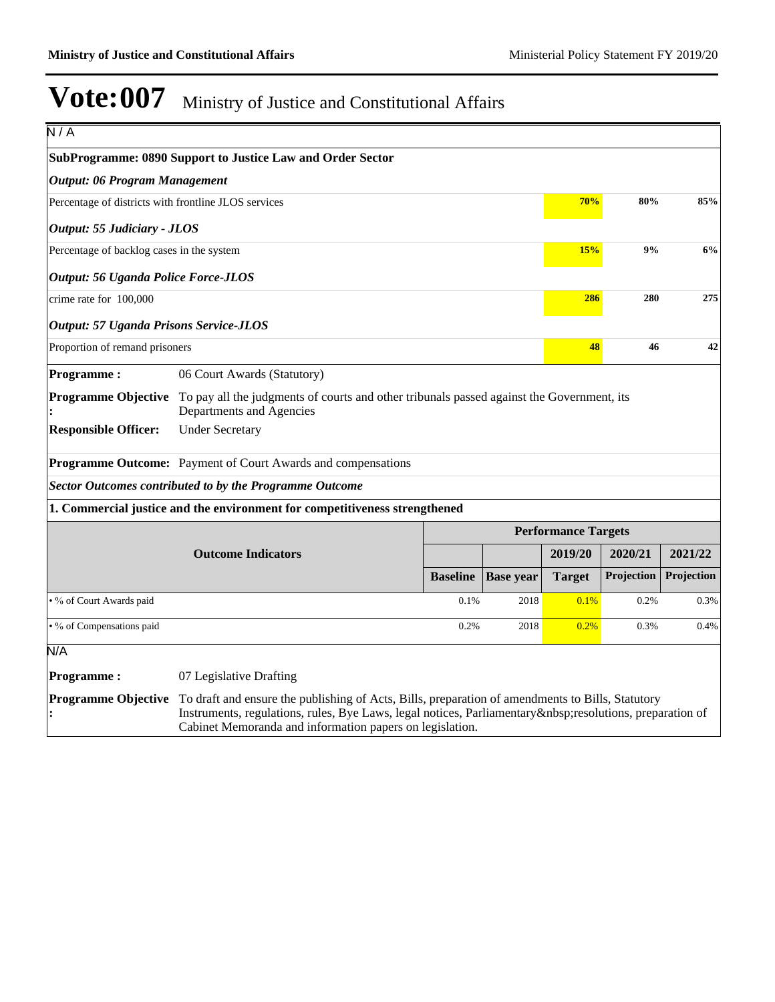| N/A                                                  |                                                                                                                                                                                                                                                                     |                 |                  |                            |            |            |
|------------------------------------------------------|---------------------------------------------------------------------------------------------------------------------------------------------------------------------------------------------------------------------------------------------------------------------|-----------------|------------------|----------------------------|------------|------------|
|                                                      | <b>SubProgramme: 0890 Support to Justice Law and Order Sector</b>                                                                                                                                                                                                   |                 |                  |                            |            |            |
| <b>Output: 06 Program Management</b>                 |                                                                                                                                                                                                                                                                     |                 |                  |                            |            |            |
| Percentage of districts with frontline JLOS services |                                                                                                                                                                                                                                                                     |                 |                  | 70%                        | 80%        | 85%        |
| Output: 55 Judiciary - JLOS                          |                                                                                                                                                                                                                                                                     |                 |                  |                            |            |            |
| Percentage of backlog cases in the system            |                                                                                                                                                                                                                                                                     |                 |                  | 15%                        | 9%         | 6%         |
| <b>Output: 56 Uganda Police Force-JLOS</b>           |                                                                                                                                                                                                                                                                     |                 |                  |                            |            |            |
| crime rate for 100,000                               |                                                                                                                                                                                                                                                                     |                 |                  | 286                        | 280        | 275        |
| <b>Output: 57 Uganda Prisons Service-JLOS</b>        |                                                                                                                                                                                                                                                                     |                 |                  |                            |            |            |
| Proportion of remand prisoners                       |                                                                                                                                                                                                                                                                     |                 |                  | 48                         | 46         | 42         |
| <b>Programme:</b>                                    | 06 Court Awards (Statutory)                                                                                                                                                                                                                                         |                 |                  |                            |            |            |
| <b>Programme Objective</b>                           | To pay all the judgments of courts and other tribunals passed against the Government, its<br>Departments and Agencies                                                                                                                                               |                 |                  |                            |            |            |
| <b>Responsible Officer:</b>                          | <b>Under Secretary</b>                                                                                                                                                                                                                                              |                 |                  |                            |            |            |
|                                                      | <b>Programme Outcome:</b> Payment of Court Awards and compensations                                                                                                                                                                                                 |                 |                  |                            |            |            |
|                                                      | <b>Sector Outcomes contributed to by the Programme Outcome</b>                                                                                                                                                                                                      |                 |                  |                            |            |            |
|                                                      | 1. Commercial justice and the environment for competitiveness strengthened                                                                                                                                                                                          |                 |                  |                            |            |            |
|                                                      |                                                                                                                                                                                                                                                                     |                 |                  | <b>Performance Targets</b> |            |            |
|                                                      | <b>Outcome Indicators</b>                                                                                                                                                                                                                                           |                 |                  | 2019/20                    | 2020/21    | 2021/22    |
|                                                      |                                                                                                                                                                                                                                                                     | <b>Baseline</b> | <b>Base year</b> | <b>Target</b>              | Projection | Projection |
| • % of Court Awards paid                             |                                                                                                                                                                                                                                                                     | 0.1%            | 2018             | 0.1%                       | 0.2%       | 0.3%       |
| • % of Compensations paid                            |                                                                                                                                                                                                                                                                     | 0.2%            | 2018             | 0.2%                       | 0.3%       | 0.4%       |
| N/A                                                  |                                                                                                                                                                                                                                                                     |                 |                  |                            |            |            |
| <b>Programme:</b>                                    | 07 Legislative Drafting                                                                                                                                                                                                                                             |                 |                  |                            |            |            |
| <b>Programme Objective</b>                           | To draft and ensure the publishing of Acts, Bills, preparation of amendments to Bills, Statutory<br>Instruments, regulations, rules, Bye Laws, legal notices, Parliamentary resolutions, preparation of<br>Cabinet Memoranda and information papers on legislation. |                 |                  |                            |            |            |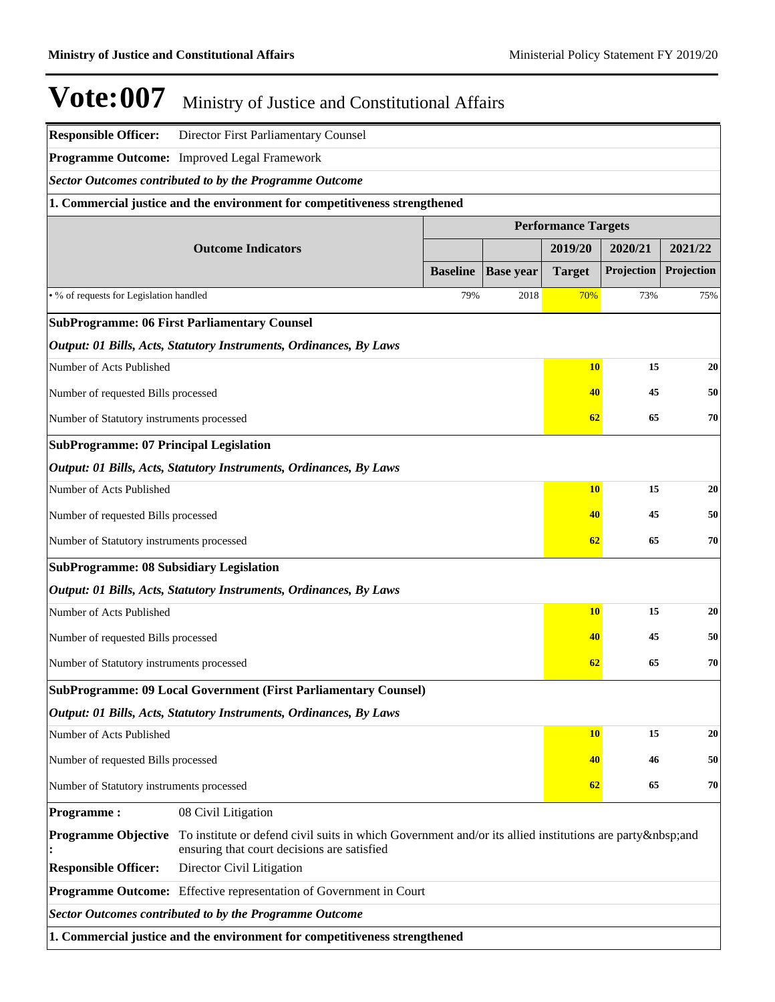| <b>Responsible Officer:</b>                    | Director First Parliamentary Counsel                                       |                                                                                                     |                  |                            |            |            |  |
|------------------------------------------------|----------------------------------------------------------------------------|-----------------------------------------------------------------------------------------------------|------------------|----------------------------|------------|------------|--|
|                                                | Programme Outcome: Improved Legal Framework                                |                                                                                                     |                  |                            |            |            |  |
|                                                | <b>Sector Outcomes contributed to by the Programme Outcome</b>             |                                                                                                     |                  |                            |            |            |  |
|                                                | 1. Commercial justice and the environment for competitiveness strengthened |                                                                                                     |                  |                            |            |            |  |
|                                                |                                                                            |                                                                                                     |                  | <b>Performance Targets</b> |            |            |  |
|                                                | <b>Outcome Indicators</b>                                                  |                                                                                                     |                  | 2019/20                    | 2020/21    | 2021/22    |  |
|                                                |                                                                            | <b>Baseline</b>                                                                                     | <b>Base year</b> | <b>Target</b>              | Projection | Projection |  |
| . % of requests for Legislation handled        |                                                                            | 79%                                                                                                 | 2018             | 70%                        | 73%        | 75%        |  |
|                                                | <b>SubProgramme: 06 First Parliamentary Counsel</b>                        |                                                                                                     |                  |                            |            |            |  |
|                                                | Output: 01 Bills, Acts, Statutory Instruments, Ordinances, By Laws         |                                                                                                     |                  |                            |            |            |  |
| Number of Acts Published                       |                                                                            |                                                                                                     |                  | <b>10</b>                  | 15         | 20         |  |
| Number of requested Bills processed            |                                                                            |                                                                                                     |                  | 40                         | 45         | 50         |  |
| Number of Statutory instruments processed      |                                                                            |                                                                                                     |                  | 62                         | 65         | 70         |  |
| <b>SubProgramme: 07 Principal Legislation</b>  |                                                                            |                                                                                                     |                  |                            |            |            |  |
|                                                | Output: 01 Bills, Acts, Statutory Instruments, Ordinances, By Laws         |                                                                                                     |                  |                            |            |            |  |
| Number of Acts Published                       |                                                                            |                                                                                                     |                  | <b>10</b>                  | 15         | 20         |  |
| Number of requested Bills processed            |                                                                            |                                                                                                     |                  | 40                         | 45         | 50         |  |
| Number of Statutory instruments processed      |                                                                            |                                                                                                     |                  | 62                         | 65         | 70         |  |
| <b>SubProgramme: 08 Subsidiary Legislation</b> |                                                                            |                                                                                                     |                  |                            |            |            |  |
|                                                | Output: 01 Bills, Acts, Statutory Instruments, Ordinances, By Laws         |                                                                                                     |                  |                            |            |            |  |
| Number of Acts Published                       |                                                                            |                                                                                                     |                  | <b>10</b>                  | 15         | 20         |  |
| Number of requested Bills processed            |                                                                            |                                                                                                     |                  | 40                         | 45         | 50         |  |
| Number of Statutory instruments processed      |                                                                            |                                                                                                     |                  | 62                         | 65         | 70         |  |
|                                                | <b>SubProgramme: 09 Local Government (First Parliamentary Counsel)</b>     |                                                                                                     |                  |                            |            |            |  |
|                                                | Output: 01 Bills, Acts, Statutory Instruments, Ordinances, By Laws         |                                                                                                     |                  |                            |            |            |  |
| Number of Acts Published                       |                                                                            |                                                                                                     |                  | <b>10</b>                  | 15         | 20         |  |
| Number of requested Bills processed            |                                                                            |                                                                                                     |                  | 40                         | 46         | 50         |  |
| Number of Statutory instruments processed      |                                                                            |                                                                                                     |                  | 62                         | 65         | 70         |  |
| <b>Programme:</b>                              | 08 Civil Litigation                                                        |                                                                                                     |                  |                            |            |            |  |
| <b>Programme Objective</b>                     | ensuring that court decisions are satisfied                                | To institute or defend civil suits in which Government and/or its allied institutions are party and |                  |                            |            |            |  |
| <b>Responsible Officer:</b>                    | Director Civil Litigation                                                  |                                                                                                     |                  |                            |            |            |  |
|                                                | <b>Programme Outcome:</b> Effective representation of Government in Court  |                                                                                                     |                  |                            |            |            |  |
|                                                | <b>Sector Outcomes contributed to by the Programme Outcome</b>             |                                                                                                     |                  |                            |            |            |  |
|                                                | 1. Commercial justice and the environment for competitiveness strengthened |                                                                                                     |                  |                            |            |            |  |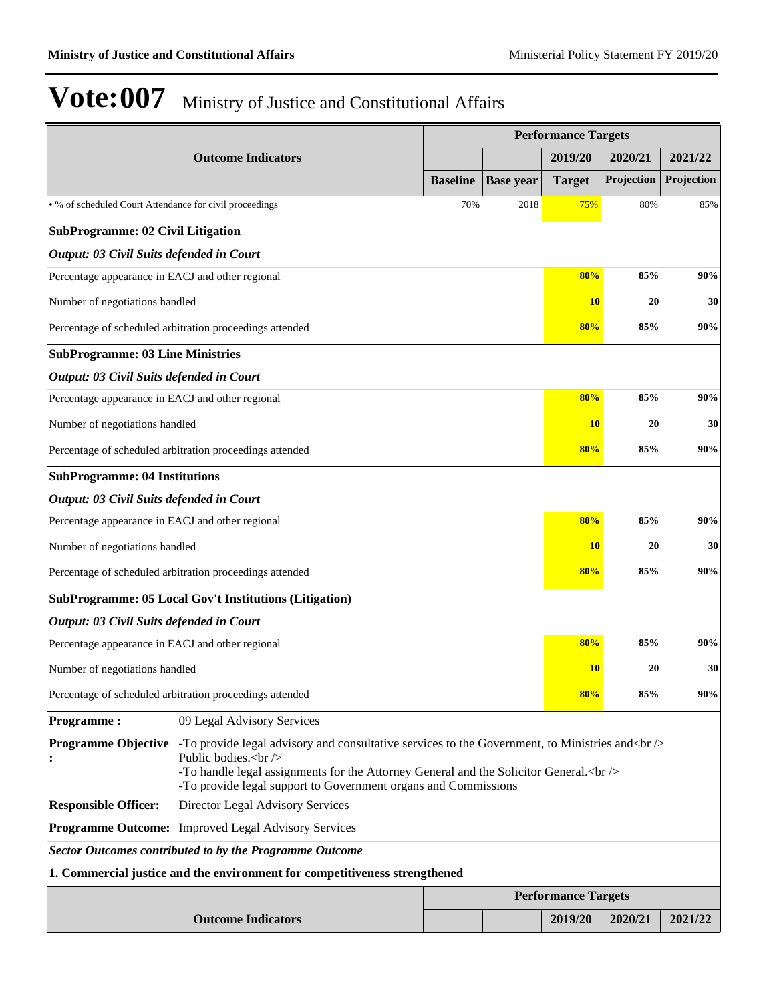|                                                         |                                                                                                                                                                                                                                                                                           |                 |                  | <b>Performance Targets</b> |            |            |
|---------------------------------------------------------|-------------------------------------------------------------------------------------------------------------------------------------------------------------------------------------------------------------------------------------------------------------------------------------------|-----------------|------------------|----------------------------|------------|------------|
|                                                         | <b>Outcome Indicators</b>                                                                                                                                                                                                                                                                 |                 |                  | 2019/20                    | 2020/21    | 2021/22    |
|                                                         |                                                                                                                                                                                                                                                                                           | <b>Baseline</b> | <b>Base year</b> | <b>Target</b>              | Projection | Projection |
| • % of scheduled Court Attendance for civil proceedings |                                                                                                                                                                                                                                                                                           | 70%             | 2018             | 75%                        | 80%        | 85%        |
| <b>SubProgramme: 02 Civil Litigation</b>                |                                                                                                                                                                                                                                                                                           |                 |                  |                            |            |            |
| Output: 03 Civil Suits defended in Court                |                                                                                                                                                                                                                                                                                           |                 |                  |                            |            |            |
| Percentage appearance in EACJ and other regional        |                                                                                                                                                                                                                                                                                           |                 |                  | 80%                        | 85%        | 90%        |
| Number of negotiations handled                          |                                                                                                                                                                                                                                                                                           |                 |                  | <b>10</b>                  | 20         | 30         |
|                                                         | Percentage of scheduled arbitration proceedings attended                                                                                                                                                                                                                                  |                 |                  | 80%                        | 85%        | 90%        |
| <b>SubProgramme: 03 Line Ministries</b>                 |                                                                                                                                                                                                                                                                                           |                 |                  |                            |            |            |
| Output: 03 Civil Suits defended in Court                |                                                                                                                                                                                                                                                                                           |                 |                  |                            |            |            |
| Percentage appearance in EACJ and other regional        |                                                                                                                                                                                                                                                                                           |                 |                  | 80%                        | 85%        | 90%        |
| Number of negotiations handled                          |                                                                                                                                                                                                                                                                                           |                 |                  | <b>10</b>                  | 20         | 30         |
|                                                         | Percentage of scheduled arbitration proceedings attended                                                                                                                                                                                                                                  |                 |                  | 80%                        | 85%        | 90%        |
| <b>SubProgramme: 04 Institutions</b>                    |                                                                                                                                                                                                                                                                                           |                 |                  |                            |            |            |
| Output: 03 Civil Suits defended in Court                |                                                                                                                                                                                                                                                                                           |                 |                  |                            |            |            |
| Percentage appearance in EACJ and other regional        |                                                                                                                                                                                                                                                                                           |                 |                  | 80%                        | 85%        | 90%        |
| Number of negotiations handled                          |                                                                                                                                                                                                                                                                                           |                 |                  | <b>10</b>                  | 20         | 30         |
|                                                         | Percentage of scheduled arbitration proceedings attended                                                                                                                                                                                                                                  |                 |                  | 80%                        | 85%        | 90%        |
|                                                         | SubProgramme: 05 Local Gov't Institutions (Litigation)                                                                                                                                                                                                                                    |                 |                  |                            |            |            |
| Output: 03 Civil Suits defended in Court                |                                                                                                                                                                                                                                                                                           |                 |                  |                            |            |            |
| Percentage appearance in EACJ and other regional        |                                                                                                                                                                                                                                                                                           |                 |                  | 80%                        | 85%        | 90%        |
| Number of negotiations handled                          |                                                                                                                                                                                                                                                                                           |                 |                  | 10                         | 20         | 30         |
|                                                         | Percentage of scheduled arbitration proceedings attended                                                                                                                                                                                                                                  |                 |                  | 80%                        | 85%        | 90%        |
| <b>Programme:</b>                                       | 09 Legal Advisory Services                                                                                                                                                                                                                                                                |                 |                  |                            |            |            |
| <b>Programme Objective</b>                              | -To provide legal advisory and consultative services to the Government, to Ministries and helt is<br>Public bodies.<br>br/><br>-To handle legal assignments for the Attorney General and the Solicitor General. < br /><br>-To provide legal support to Government organs and Commissions |                 |                  |                            |            |            |
| <b>Responsible Officer:</b>                             | Director Legal Advisory Services                                                                                                                                                                                                                                                          |                 |                  |                            |            |            |
|                                                         | <b>Programme Outcome:</b> Improved Legal Advisory Services                                                                                                                                                                                                                                |                 |                  |                            |            |            |
|                                                         | <b>Sector Outcomes contributed to by the Programme Outcome</b>                                                                                                                                                                                                                            |                 |                  |                            |            |            |
|                                                         | 1. Commercial justice and the environment for competitiveness strengthened                                                                                                                                                                                                                |                 |                  |                            |            |            |
|                                                         |                                                                                                                                                                                                                                                                                           |                 |                  | <b>Performance Targets</b> |            |            |
|                                                         | <b>Outcome Indicators</b>                                                                                                                                                                                                                                                                 |                 |                  | 2019/20                    | 2020/21    | 2021/22    |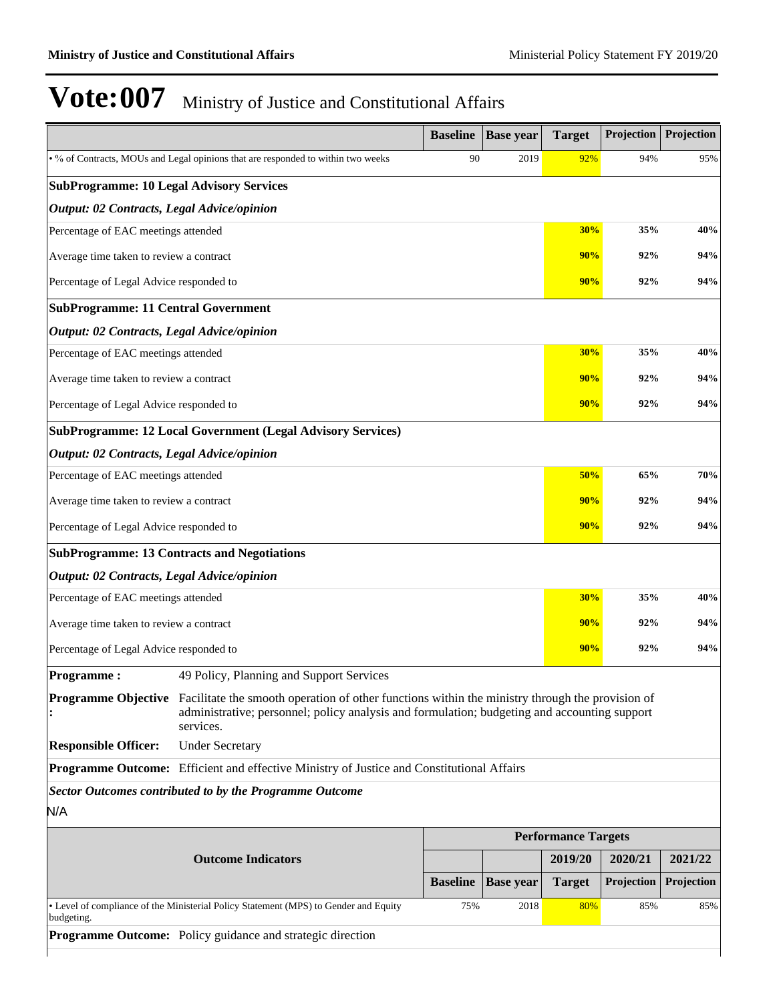|                                                 |                                                                                                                                                                                                                                         | <b>Baseline</b> | <b>Base year</b> | <b>Target</b>              | Projection            | Projection            |
|-------------------------------------------------|-----------------------------------------------------------------------------------------------------------------------------------------------------------------------------------------------------------------------------------------|-----------------|------------------|----------------------------|-----------------------|-----------------------|
|                                                 | . % of Contracts, MOUs and Legal opinions that are responded to within two weeks                                                                                                                                                        | 90              | 2019             | 92%                        | 94%                   | 95%                   |
| <b>SubProgramme: 10 Legal Advisory Services</b> |                                                                                                                                                                                                                                         |                 |                  |                            |                       |                       |
| Output: 02 Contracts, Legal Advice/opinion      |                                                                                                                                                                                                                                         |                 |                  |                            |                       |                       |
| Percentage of EAC meetings attended             |                                                                                                                                                                                                                                         |                 |                  | 30%                        | 35%                   | 40%                   |
| Average time taken to review a contract         |                                                                                                                                                                                                                                         |                 |                  | 90%                        | 92%                   | 94%                   |
| Percentage of Legal Advice responded to         |                                                                                                                                                                                                                                         |                 |                  | 90%                        | 92%                   | 94%                   |
| <b>SubProgramme: 11 Central Government</b>      |                                                                                                                                                                                                                                         |                 |                  |                            |                       |                       |
| Output: 02 Contracts, Legal Advice/opinion      |                                                                                                                                                                                                                                         |                 |                  |                            |                       |                       |
| Percentage of EAC meetings attended             |                                                                                                                                                                                                                                         |                 |                  | 30%                        | 35%                   | 40%                   |
| Average time taken to review a contract         |                                                                                                                                                                                                                                         |                 |                  | 90%                        | 92%                   | 94%                   |
|                                                 | Percentage of Legal Advice responded to                                                                                                                                                                                                 |                 |                  |                            |                       | 94%                   |
|                                                 | <b>SubProgramme: 12 Local Government (Legal Advisory Services)</b>                                                                                                                                                                      |                 |                  |                            |                       |                       |
| Output: 02 Contracts, Legal Advice/opinion      |                                                                                                                                                                                                                                         |                 |                  |                            |                       |                       |
| Percentage of EAC meetings attended             |                                                                                                                                                                                                                                         |                 |                  | 50%                        | 65%                   | 70%                   |
| Average time taken to review a contract         |                                                                                                                                                                                                                                         |                 |                  |                            | 90%<br>92%            | 94%                   |
| Percentage of Legal Advice responded to         |                                                                                                                                                                                                                                         |                 |                  | 90%                        | 92%                   | 94%                   |
|                                                 | <b>SubProgramme: 13 Contracts and Negotiations</b>                                                                                                                                                                                      |                 |                  |                            |                       |                       |
| Output: 02 Contracts, Legal Advice/opinion      |                                                                                                                                                                                                                                         |                 |                  |                            |                       |                       |
| Percentage of EAC meetings attended             |                                                                                                                                                                                                                                         |                 |                  | 30%                        | 35%                   | 40%                   |
| Average time taken to review a contract         |                                                                                                                                                                                                                                         |                 |                  | 90%                        | 92%                   | 94%                   |
| Percentage of Legal Advice responded to         |                                                                                                                                                                                                                                         |                 |                  | 90%                        | 92%                   | 94%                   |
| <b>Programme:</b>                               | 49 Policy, Planning and Support Services                                                                                                                                                                                                |                 |                  |                            |                       |                       |
|                                                 | <b>Programme Objective</b> Facilitate the smooth operation of other functions within the ministry through the provision of<br>administrative; personnel; policy analysis and formulation; budgeting and accounting support<br>services. |                 |                  |                            |                       |                       |
| <b>Responsible Officer:</b>                     | <b>Under Secretary</b>                                                                                                                                                                                                                  |                 |                  |                            |                       |                       |
|                                                 | Programme Outcome: Efficient and effective Ministry of Justice and Constitutional Affairs                                                                                                                                               |                 |                  |                            |                       |                       |
|                                                 | <b>Sector Outcomes contributed to by the Programme Outcome</b>                                                                                                                                                                          |                 |                  |                            |                       |                       |
| N/A                                             |                                                                                                                                                                                                                                         |                 |                  |                            |                       |                       |
|                                                 |                                                                                                                                                                                                                                         |                 |                  | <b>Performance Targets</b> |                       |                       |
|                                                 | <b>Outcome Indicators</b>                                                                                                                                                                                                               | <b>Baseline</b> | <b>Base year</b> | 2019/20<br><b>Target</b>   | 2020/21<br>Projection | 2021/22<br>Projection |
|                                                 |                                                                                                                                                                                                                                         |                 |                  |                            |                       |                       |
| budgeting.                                      | • Level of compliance of the Ministerial Policy Statement (MPS) to Gender and Equity                                                                                                                                                    | 75%             | 2018             | 80%                        | 85%                   | 85%                   |
|                                                 | <b>Programme Outcome:</b> Policy guidance and strategic direction                                                                                                                                                                       |                 |                  |                            |                       |                       |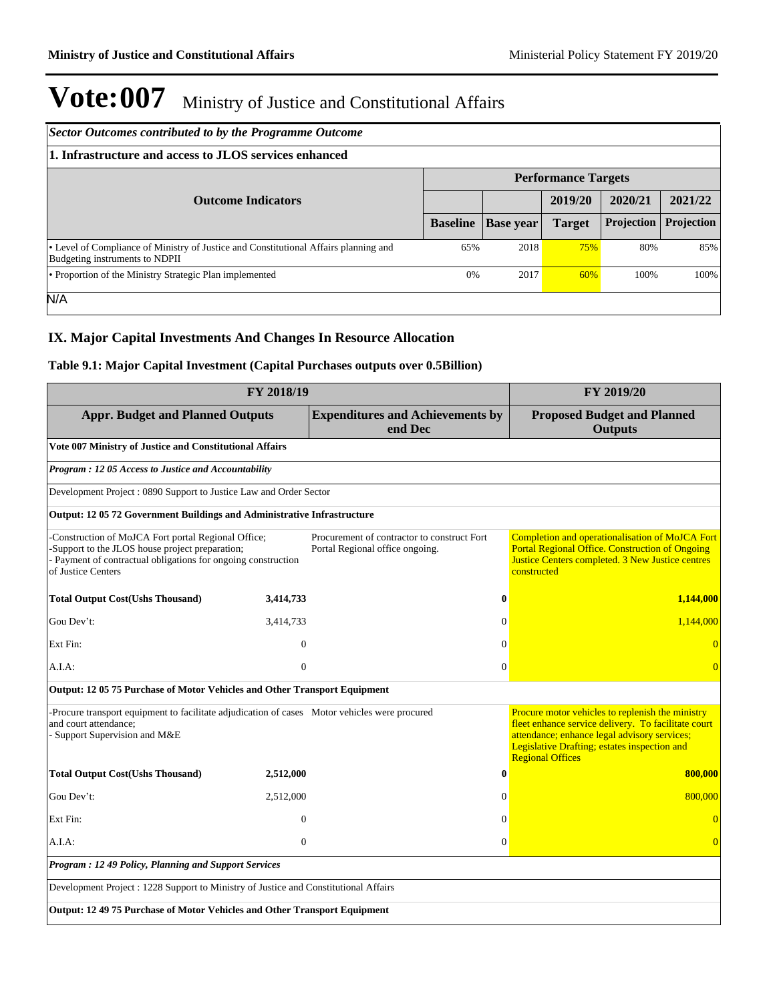| Sector Outcomes contributed to by the Programme Outcome                                                                |                            |                  |               |            |            |  |  |  |
|------------------------------------------------------------------------------------------------------------------------|----------------------------|------------------|---------------|------------|------------|--|--|--|
| 1. Infrastructure and access to JLOS services enhanced                                                                 |                            |                  |               |            |            |  |  |  |
|                                                                                                                        | <b>Performance Targets</b> |                  |               |            |            |  |  |  |
| <b>Outcome Indicators</b>                                                                                              |                            |                  | 2019/20       | 2020/21    | 2021/22    |  |  |  |
|                                                                                                                        | <b>Baseline</b>            | <b>Base</b> year | <b>Target</b> | Projection | Projection |  |  |  |
| • Level of Compliance of Ministry of Justice and Constitutional Affairs planning and<br>Budgeting instruments to NDPII | 65%                        | 2018             | 75%           | 80%        | 85%        |  |  |  |
| • Proportion of the Ministry Strategic Plan implemented                                                                | $0\%$                      | 2017             | 60%           | 100%       | 100%       |  |  |  |
| N/A                                                                                                                    |                            |                  |               |            |            |  |  |  |

### **IX. Major Capital Investments And Changes In Resource Allocation**

### **Table 9.1: Major Capital Investment (Capital Purchases outputs over 0.5Billion)**

| FY 2018/19                                                                                                                                                                                    |                |                                                                                |                                                      | FY 2019/20                                                                                                                                                                                                                         |  |
|-----------------------------------------------------------------------------------------------------------------------------------------------------------------------------------------------|----------------|--------------------------------------------------------------------------------|------------------------------------------------------|------------------------------------------------------------------------------------------------------------------------------------------------------------------------------------------------------------------------------------|--|
| <b>Appr. Budget and Planned Outputs</b>                                                                                                                                                       |                | <b>Expenditures and Achievements by</b><br>end Dec                             | <b>Proposed Budget and Planned</b><br><b>Outputs</b> |                                                                                                                                                                                                                                    |  |
| Vote 007 Ministry of Justice and Constitutional Affairs                                                                                                                                       |                |                                                                                |                                                      |                                                                                                                                                                                                                                    |  |
| Program: 12 05 Access to Justice and Accountability                                                                                                                                           |                |                                                                                |                                                      |                                                                                                                                                                                                                                    |  |
| Development Project: 0890 Support to Justice Law and Order Sector                                                                                                                             |                |                                                                                |                                                      |                                                                                                                                                                                                                                    |  |
| Output: 12 05 72 Government Buildings and Administrative Infrastructure                                                                                                                       |                |                                                                                |                                                      |                                                                                                                                                                                                                                    |  |
| -Construction of MoJCA Fort portal Regional Office;<br>-Support to the JLOS house project preparation;<br>- Payment of contractual obligations for ongoing construction<br>of Justice Centers |                | Procurement of contractor to construct Fort<br>Portal Regional office ongoing. |                                                      | Completion and operationalisation of MoJCA Fort<br><b>Portal Regional Office. Construction of Ongoing</b><br>Justice Centers completed. 3 New Justice centres<br>constructed                                                       |  |
| <b>Total Output Cost(Ushs Thousand)</b>                                                                                                                                                       | 3,414,733      |                                                                                | $\bf{0}$                                             | 1.144,000                                                                                                                                                                                                                          |  |
| Gou Dev't:                                                                                                                                                                                    | 3,414,733      |                                                                                | $\Omega$                                             | 1,144,000                                                                                                                                                                                                                          |  |
| Ext Fin:                                                                                                                                                                                      | $\mathbf{0}$   |                                                                                | $\Omega$                                             |                                                                                                                                                                                                                                    |  |
| A.I.A:                                                                                                                                                                                        | $\overline{0}$ |                                                                                | $\Omega$                                             | $\Omega$                                                                                                                                                                                                                           |  |
| Output: 12 05 75 Purchase of Motor Vehicles and Other Transport Equipment                                                                                                                     |                |                                                                                |                                                      |                                                                                                                                                                                                                                    |  |
| -Procure transport equipment to facilitate adjudication of cases Motor vehicles were procured<br>and court attendance;<br>- Support Supervision and M&E                                       |                |                                                                                |                                                      | Procure motor vehicles to replenish the ministry<br>fleet enhance service delivery. To facilitate court<br>attendance; enhance legal advisory services;<br>Legislative Drafting; estates inspection and<br><b>Regional Offices</b> |  |
| <b>Total Output Cost(Ushs Thousand)</b>                                                                                                                                                       | 2,512,000      |                                                                                | $\bf{0}$                                             | 800,000                                                                                                                                                                                                                            |  |
| Gou Dev't:                                                                                                                                                                                    | 2,512,000      |                                                                                | $\Omega$                                             | 800,000                                                                                                                                                                                                                            |  |
| Ext Fin:                                                                                                                                                                                      | $\theta$       |                                                                                | $\Omega$                                             | $\Omega$                                                                                                                                                                                                                           |  |
| A.I.A:                                                                                                                                                                                        | $\overline{0}$ |                                                                                | $\mathbf{0}$                                         | $\overline{0}$                                                                                                                                                                                                                     |  |
| Program: 12 49 Policy, Planning and Support Services                                                                                                                                          |                |                                                                                |                                                      |                                                                                                                                                                                                                                    |  |
| Development Project : 1228 Support to Ministry of Justice and Constitutional Affairs                                                                                                          |                |                                                                                |                                                      |                                                                                                                                                                                                                                    |  |
| Output: 12 49 75 Purchase of Motor Vehicles and Other Transport Equipment                                                                                                                     |                |                                                                                |                                                      |                                                                                                                                                                                                                                    |  |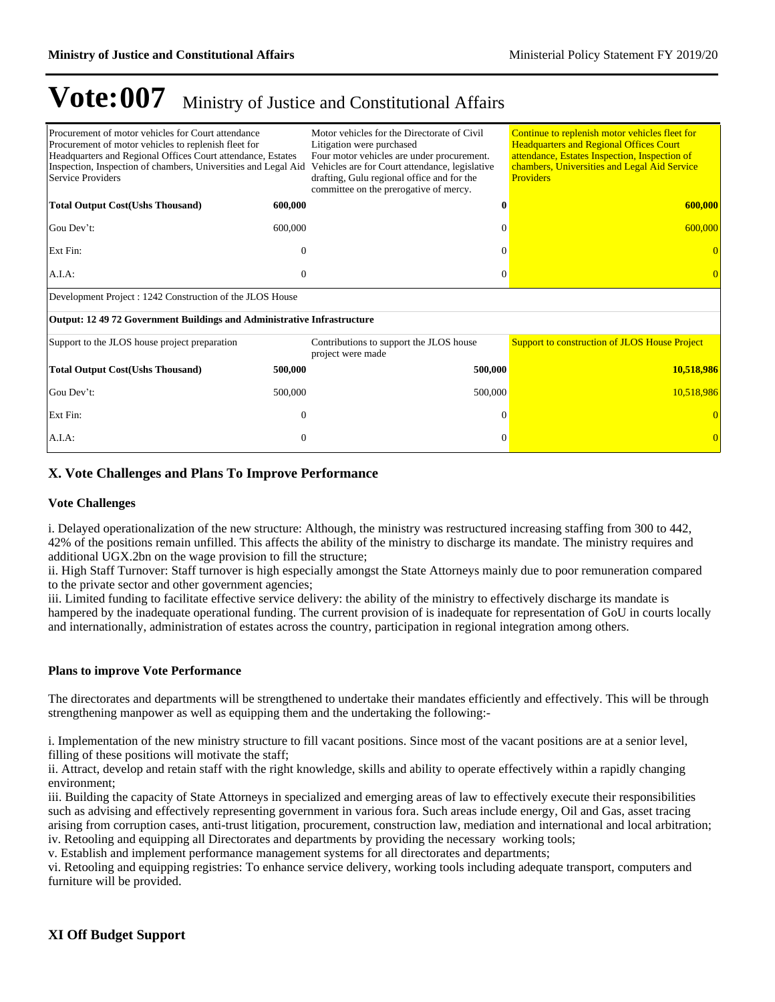| Procurement of motor vehicles for Court attendance<br>Procurement of motor vehicles to replenish fleet for<br>Headquarters and Regional Offices Court attendance, Estates<br>Inspection, Inspection of chambers, Universities and Legal Aid<br>Service Providers |              | Motor vehicles for the Directorate of Civil<br>Litigation were purchased<br>Four motor vehicles are under procurement.<br>Vehicles are for Court attendance, legislative<br>drafting, Gulu regional office and for the<br>committee on the prerogative of mercy. |          | Continue to replenish motor vehicles fleet for<br><b>Headquarters and Regional Offices Court</b><br>attendance, Estates Inspection, Inspection of<br>chambers, Universities and Legal Aid Service<br><b>Providers</b> |  |  |  |
|------------------------------------------------------------------------------------------------------------------------------------------------------------------------------------------------------------------------------------------------------------------|--------------|------------------------------------------------------------------------------------------------------------------------------------------------------------------------------------------------------------------------------------------------------------------|----------|-----------------------------------------------------------------------------------------------------------------------------------------------------------------------------------------------------------------------|--|--|--|
| <b>Total Output Cost(Ushs Thousand)</b>                                                                                                                                                                                                                          | 600,000      |                                                                                                                                                                                                                                                                  | 0        | 600,000                                                                                                                                                                                                               |  |  |  |
| Gou Dev't:                                                                                                                                                                                                                                                       | 600,000      |                                                                                                                                                                                                                                                                  |          | 600,000                                                                                                                                                                                                               |  |  |  |
| Ext Fin:                                                                                                                                                                                                                                                         | 0            |                                                                                                                                                                                                                                                                  |          |                                                                                                                                                                                                                       |  |  |  |
| A.I.A.                                                                                                                                                                                                                                                           | $\Omega$     |                                                                                                                                                                                                                                                                  | $\Omega$ |                                                                                                                                                                                                                       |  |  |  |
| Development Project : 1242 Construction of the JLOS House                                                                                                                                                                                                        |              |                                                                                                                                                                                                                                                                  |          |                                                                                                                                                                                                                       |  |  |  |
| Output: 12 49 72 Government Buildings and Administrative Infrastructure                                                                                                                                                                                          |              |                                                                                                                                                                                                                                                                  |          |                                                                                                                                                                                                                       |  |  |  |
| Support to the JLOS house project preparation                                                                                                                                                                                                                    |              | Contributions to support the JLOS house<br>project were made                                                                                                                                                                                                     |          | <b>Support to construction of JLOS House Project</b>                                                                                                                                                                  |  |  |  |
| <b>Total Output Cost(Ushs Thousand)</b>                                                                                                                                                                                                                          | 500,000      | 500,000                                                                                                                                                                                                                                                          |          | 10,518,986                                                                                                                                                                                                            |  |  |  |
| Gou Dev't:                                                                                                                                                                                                                                                       | 500,000      | 500,000                                                                                                                                                                                                                                                          |          | 10,518,986                                                                                                                                                                                                            |  |  |  |
| Ext Fin:                                                                                                                                                                                                                                                         | $\theta$     |                                                                                                                                                                                                                                                                  |          |                                                                                                                                                                                                                       |  |  |  |
| A.I.A.                                                                                                                                                                                                                                                           | $\mathbf{0}$ |                                                                                                                                                                                                                                                                  | 0        |                                                                                                                                                                                                                       |  |  |  |

### **X. Vote Challenges and Plans To Improve Performance**

#### **Vote Challenges**

i. Delayed operationalization of the new structure: Although, the ministry was restructured increasing staffing from 300 to 442, 42% of the positions remain unfilled. This affects the ability of the ministry to discharge its mandate. The ministry requires and additional UGX.2bn on the wage provision to fill the structure;

ii. High Staff Turnover: Staff turnover is high especially amongst the State Attorneys mainly due to poor remuneration compared to the private sector and other government agencies;

iii. Limited funding to facilitate effective service delivery: the ability of the ministry to effectively discharge its mandate is hampered by the inadequate operational funding. The current provision of is inadequate for representation of GoU in courts locally and internationally, administration of estates across the country, participation in regional integration among others.

#### **Plans to improve Vote Performance**

The directorates and departments will be strengthened to undertake their mandates efficiently and effectively. This will be through strengthening manpower as well as equipping them and the undertaking the following:-

i. Implementation of the new ministry structure to fill vacant positions. Since most of the vacant positions are at a senior level, filling of these positions will motivate the staff;

ii. Attract, develop and retain staff with the right knowledge, skills and ability to operate effectively within a rapidly changing environment;

iii. Building the capacity of State Attorneys in specialized and emerging areas of law to effectively execute their responsibilities such as advising and effectively representing government in various fora. Such areas include energy, Oil and Gas, asset tracing arising from corruption cases, anti-trust litigation, procurement, construction law, mediation and international and local arbitration; iv. Retooling and equipping all Directorates and departments by providing the necessary working tools;

v. Establish and implement performance management systems for all directorates and departments;

vi. Retooling and equipping registries: To enhance service delivery, working tools including adequate transport, computers and furniture will be provided.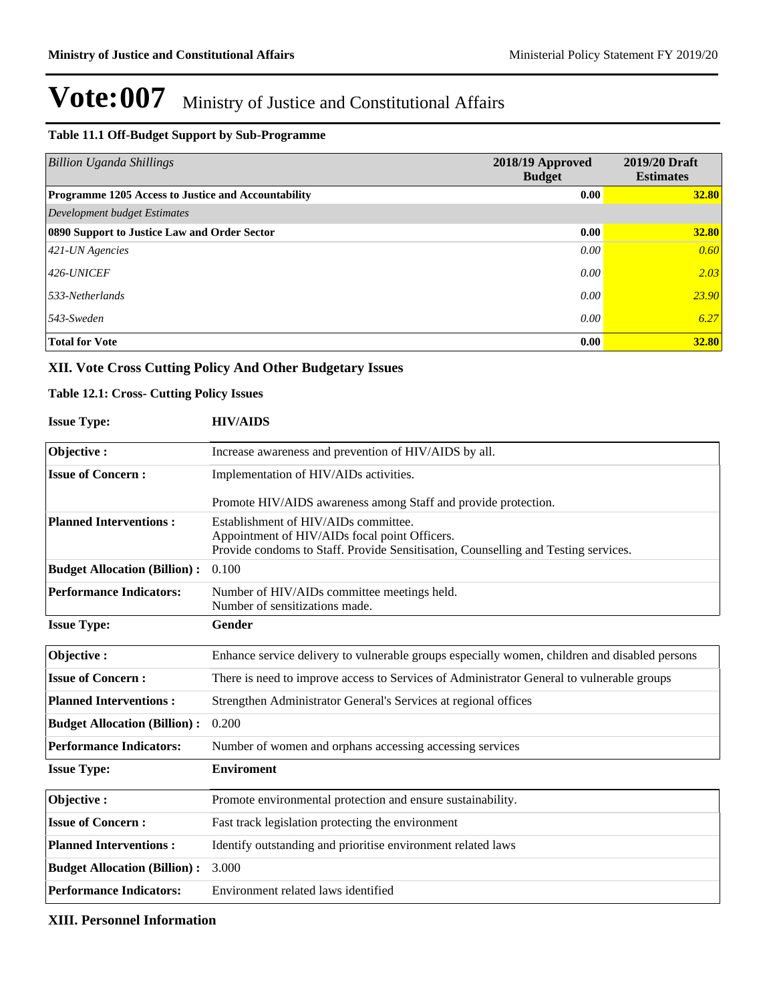#### **Table 11.1 Off-Budget Support by Sub-Programme**

| <b>Billion Uganda Shillings</b>                     | 2018/19 Approved<br><b>Budget</b> | 2019/20 Draft<br><b>Estimates</b> |
|-----------------------------------------------------|-----------------------------------|-----------------------------------|
| Programme 1205 Access to Justice and Accountability | 0.00                              | <b>32.80</b>                      |
| Development budget Estimates                        |                                   |                                   |
| 0890 Support to Justice Law and Order Sector        | 0.00                              | 32.80                             |
| $421$ -UN Agencies                                  | 0.00                              | 0.60                              |
| $426$ -UNICEF                                       | 0.00                              | 2.03                              |
| $533$ -Netherlands                                  | 0.00                              | 23.90                             |
| $543$ -Sweden                                       | 0.00                              | 6.27                              |
| <b>Total for Vote</b>                               | 0.00                              | 32.80                             |

### **XII. Vote Cross Cutting Policy And Other Budgetary Issues**

### **Table 12.1: Cross- Cutting Policy Issues**

| <b>Issue Type:</b>                  | <b>HIV/AIDS</b>                                                                                                                                                             |
|-------------------------------------|-----------------------------------------------------------------------------------------------------------------------------------------------------------------------------|
| Objective:                          | Increase awareness and prevention of HIV/AIDS by all.                                                                                                                       |
| <b>Issue of Concern:</b>            | Implementation of HIV/AIDs activities.                                                                                                                                      |
|                                     | Promote HIV/AIDS awareness among Staff and provide protection.                                                                                                              |
| <b>Planned Interventions:</b>       | Establishment of HIV/AIDs committee.<br>Appointment of HIV/AIDs focal point Officers.<br>Provide condoms to Staff. Provide Sensitisation, Counselling and Testing services. |
| <b>Budget Allocation (Billion):</b> | 0.100                                                                                                                                                                       |
| <b>Performance Indicators:</b>      | Number of HIV/AIDs committee meetings held.<br>Number of sensitizations made.                                                                                               |
| <b>Issue Type:</b>                  | Gender                                                                                                                                                                      |
| Objective:                          | Enhance service delivery to vulnerable groups especially women, children and disabled persons                                                                               |
| <b>Issue of Concern:</b>            | There is need to improve access to Services of Administrator General to vulnerable groups                                                                                   |
| <b>Planned Interventions:</b>       | Strengthen Administrator General's Services at regional offices                                                                                                             |
| <b>Budget Allocation (Billion):</b> | 0.200                                                                                                                                                                       |
| <b>Performance Indicators:</b>      | Number of women and orphans accessing accessing services                                                                                                                    |
| <b>Issue Type:</b>                  | <b>Enviroment</b>                                                                                                                                                           |
| Objective:                          | Promote environmental protection and ensure sustainability.                                                                                                                 |
| <b>Issue of Concern:</b>            | Fast track legislation protecting the environment                                                                                                                           |
| <b>Planned Interventions:</b>       | Identify outstanding and prioritise environment related laws                                                                                                                |
| <b>Budget Allocation (Billion):</b> | 3.000                                                                                                                                                                       |
| <b>Performance Indicators:</b>      | Environment related laws identified                                                                                                                                         |

### **XIII. Personnel Information**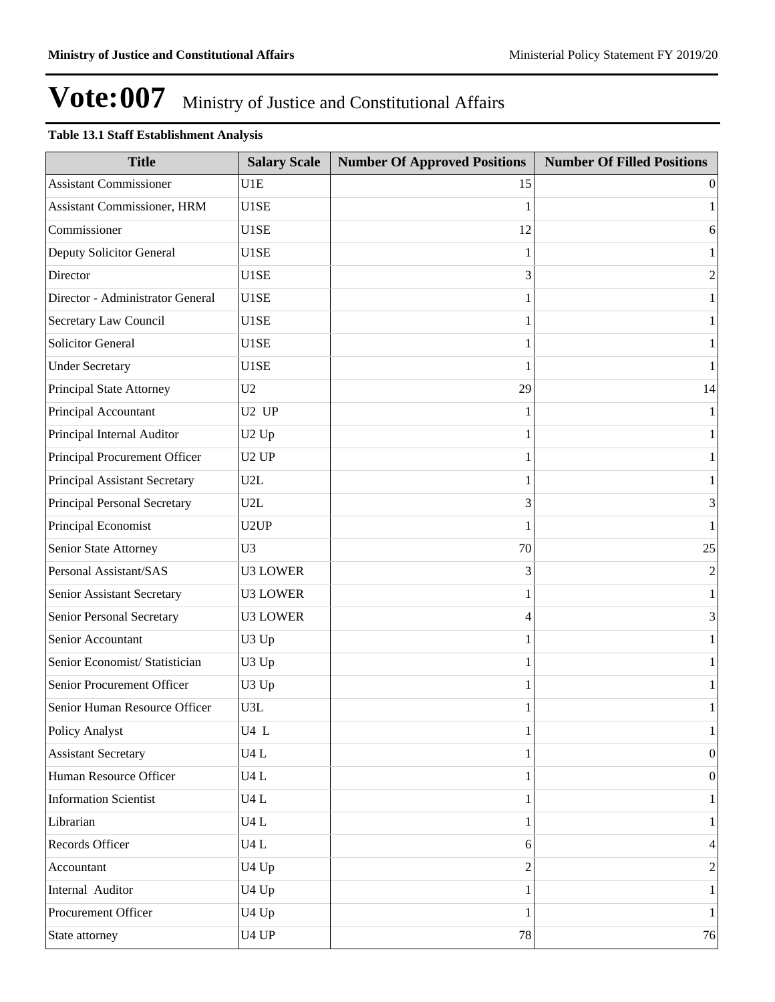### **Table 13.1 Staff Establishment Analysis**

| <b>Title</b>                     | <b>Salary Scale</b>           | <b>Number Of Approved Positions</b> | <b>Number Of Filled Positions</b> |
|----------------------------------|-------------------------------|-------------------------------------|-----------------------------------|
| <b>Assistant Commissioner</b>    | U1E                           | 15                                  | $\theta$                          |
| Assistant Commissioner, HRM      | U1SE                          |                                     | 1                                 |
| Commissioner                     | U1SE                          | 12                                  | 6                                 |
| Deputy Solicitor General         | U1SE                          |                                     | 1                                 |
| Director                         | U1SE                          | 3                                   | $\boldsymbol{2}$                  |
| Director - Administrator General | U1SE                          |                                     | $\mathbf{1}$                      |
| Secretary Law Council            | U1SE                          |                                     | $\mathbf{1}$                      |
| <b>Solicitor General</b>         | U1SE                          |                                     | $\mathbf{1}$                      |
| <b>Under Secretary</b>           | U1SE                          | 1                                   | $\mathbf{1}$                      |
| Principal State Attorney         | U2                            | 29                                  | 14                                |
| Principal Accountant             | U <sub>2</sub> UP             | 1                                   | $\mathbf{1}$                      |
| Principal Internal Auditor       | U <sub>2</sub> Up             |                                     | $\mathbf{1}$                      |
| Principal Procurement Officer    | U <sub>2</sub> UP             |                                     | $\mathbf{1}$                      |
| Principal Assistant Secretary    | U2L                           |                                     | $\mathbf{1}$                      |
| Principal Personal Secretary     | U2L                           | 3                                   | 3                                 |
| Principal Economist              | U <sub>2</sub> UP             |                                     | $\mathbf{1}$                      |
| Senior State Attorney            | U <sub>3</sub>                | 70                                  | 25                                |
| Personal Assistant/SAS           | <b>U3 LOWER</b>               | 3                                   | $\mathfrak{2}$                    |
| Senior Assistant Secretary       | <b>U3 LOWER</b>               |                                     | $\mathbf{1}$                      |
| Senior Personal Secretary        | <b>U3 LOWER</b>               | 4                                   | 3                                 |
| Senior Accountant                | U3 Up                         |                                     | $\mathbf{1}$                      |
| Senior Economist/ Statistician   | U3 Up                         |                                     | $\mathbf{1}$                      |
| Senior Procurement Officer       | U3 Up                         |                                     | $\mathbf{1}$                      |
| Senior Human Resource Officer    | U3L                           |                                     | $\mathbf{1}$                      |
| Policy Analyst                   | U4L                           | 1                                   | $\mathbf{1}$                      |
| <b>Assistant Secretary</b>       | U4L                           | 1                                   | $\vert 0 \vert$                   |
| Human Resource Officer           | U4L                           |                                     | $\vert 0 \vert$                   |
| <b>Information Scientist</b>     | $U4$ L                        | 1                                   | $\mathbf{1}$                      |
| Librarian                        | U4L                           |                                     | $\mathbf{1}$                      |
| Records Officer                  | U4L                           | 6                                   | $\vert 4 \vert$                   |
| Accountant                       | U4 Up                         | 2                                   | $\overline{2}$                    |
| Internal Auditor                 | U4 Up                         | 1                                   | $\mathbf{1}$                      |
| Procurement Officer              | U <sub>4</sub> U <sub>p</sub> | 1                                   | $1\vert$                          |
| State attorney                   | U <sub>4</sub> UP             | 78                                  | 76                                |